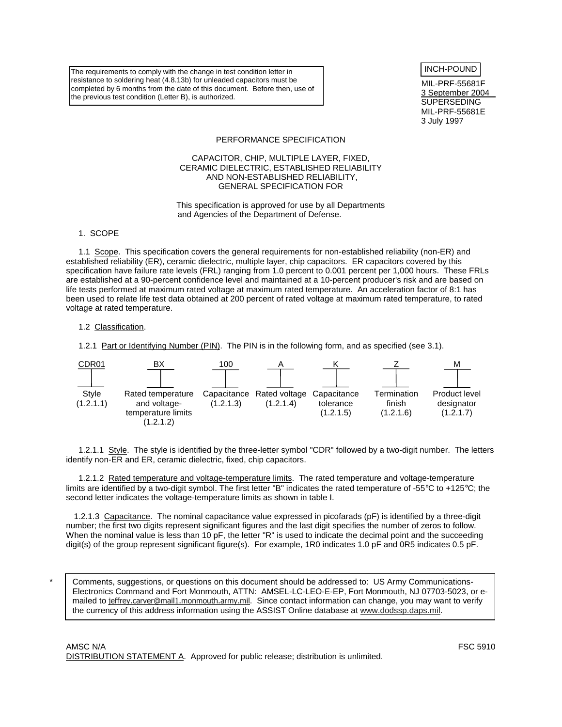The requirements to comply with the change in test condition letter in resistance to soldering heat (4.8.13b) for unleaded capacitors must be completed by 6 months from the date of this document. Before then, use of the previous test condition (Letter B), is authorized.

INCH-POUND

MIL-PRF-55681F 3 September 2004 SUPERSEDING MIL-PRF-55681E 3 July 1997

#### PERFORMANCE SPECIFICATION

## CAPACITOR, CHIP, MULTIPLE LAYER, FIXED, CERAMIC DIELECTRIC, ESTABLISHED RELIABILITY AND NON-ESTABLISHED RELIABILITY, GENERAL SPECIFICATION FOR

This specification is approved for use by all Departments and Agencies of the Department of Defense.

1. SCOPE

1.1 Scope. This specification covers the general requirements for non-established reliability (non-ER) and established reliability (ER), ceramic dielectric, multiple layer, chip capacitors. ER capacitors covered by this specification have failure rate levels (FRL) ranging from 1.0 percent to 0.001 percent per 1,000 hours. These FRLs are established at a 90-percent confidence level and maintained at a 10-percent producer's risk and are based on life tests performed at maximum rated voltage at maximum rated temperature. An acceleration factor of 8:1 has been used to relate life test data obtained at 200 percent of rated voltage at maximum rated temperature, to rated voltage at rated temperature.

## 1.2 Classification.

\*

1.2.1 Part or Identifying Number (PIN). The PIN is in the following form, and as specified (see 3.1).



1.2.1.1 Style. The style is identified by the three-letter symbol "CDR" followed by a two-digit number. The letters identify non-ER and ER, ceramic dielectric, fixed, chip capacitors.

1.2.1.2 Rated temperature and voltage-temperature limits. The rated temperature and voltage-temperature limits are identified by a two-digit symbol. The first letter "B" indicates the rated temperature of -55°C to +125°C; the second letter indicates the voltage-temperature limits as shown in table I.

1.2.1.3 Capacitance. The nominal capacitance value expressed in picofarads (pF) is identified by a three-digit number; the first two digits represent significant figures and the last digit specifies the number of zeros to follow. When the nominal value is less than 10 pF, the letter "R" is used to indicate the decimal point and the succeeding digit(s) of the group represent significant figure(s). For example, 1R0 indicates 1.0 pF and 0R5 indicates 0.5 pF.

Comments, suggestions, or questions on this document should be addressed to: US Army Communications-Electronics Command and Fort Monmouth, ATTN: AMSEL-LC-LEO-E-EP, Fort Monmouth, NJ 07703-5023, or emailed to jeffrey.carver@mail1.monmouth.army.mil. Since contact information can change, you may want to verify the currency of this address information using the ASSIST Online database at www.dodssp.daps.mil.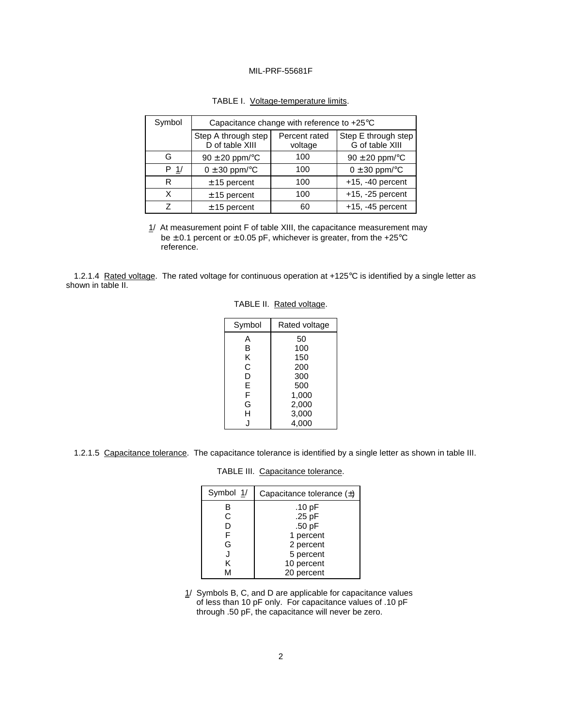| Symbol         | Capacitance change with reference to +25°C                         |     |                                        |  |  |
|----------------|--------------------------------------------------------------------|-----|----------------------------------------|--|--|
|                | Step A through step<br>Percent rated<br>D of table XIII<br>voltage |     | Step E through step<br>G of table XIII |  |  |
| G              | $90 \pm 20$ ppm/ $\degree$ C                                       | 100 | $90 \pm 20$ ppm/ $\degree$ C           |  |  |
| P <sub>1</sub> | $0 \pm 30$ ppm/ $\degree$ C                                        | 100 | $0 \pm 30$ ppm/ $\degree$ C            |  |  |
| R              | $± 15$ percent                                                     | 100 | $+15, -40$ percent                     |  |  |
| x              | $± 15$ percent                                                     | 100 | $+15, -25$ percent                     |  |  |
| 7              | $± 15$ percent                                                     | 60  | $+15, -45$ percent                     |  |  |

| TABLE I. Voltage-temperature limits. |
|--------------------------------------|
|--------------------------------------|

 $1/$  At measurement point F of table XIII, the capacitance measurement may be  $\pm$  0.1 percent or  $\pm$  0.05 pF, whichever is greater, from the +25°C reference.

1.2.1.4 Rated voltage. The rated voltage for continuous operation at +125°C is identified by a single letter as shown in table II.

|  | TABLE II. Rated voltage. |
|--|--------------------------|
|--|--------------------------|

| Symbol | Rated voltage |  |  |
|--------|---------------|--|--|
| А      | 50            |  |  |
| В      | 100           |  |  |
| κ      | 150           |  |  |
| C      | 200           |  |  |
| D      | 300           |  |  |
| E      | 500           |  |  |
| F      | 1,000         |  |  |
| G      | 2,000         |  |  |
| н      | 3,000         |  |  |
|        | 4,000         |  |  |

1.2.1.5 Capacitance tolerance. The capacitance tolerance is identified by a single letter as shown in table III.

# TABLE III. Capacitance tolerance.

| Symbol 1/ | Capacitance tolerance $(\pm)$ |  |  |
|-----------|-------------------------------|--|--|
| в         | .10 $pF$                      |  |  |
| С         | .25 pF                        |  |  |
| D         | .50 pF                        |  |  |
|           | 1 percent                     |  |  |
| G         | 2 percent                     |  |  |
| J         | 5 percent                     |  |  |
| ĸ         | 10 percent                    |  |  |
| М         | 20 percent                    |  |  |

 $1/$  Symbols B, C, and D are applicable for capacitance values of less than 10 pF only. For capacitance values of .10 pF through .50 pF, the capacitance will never be zero.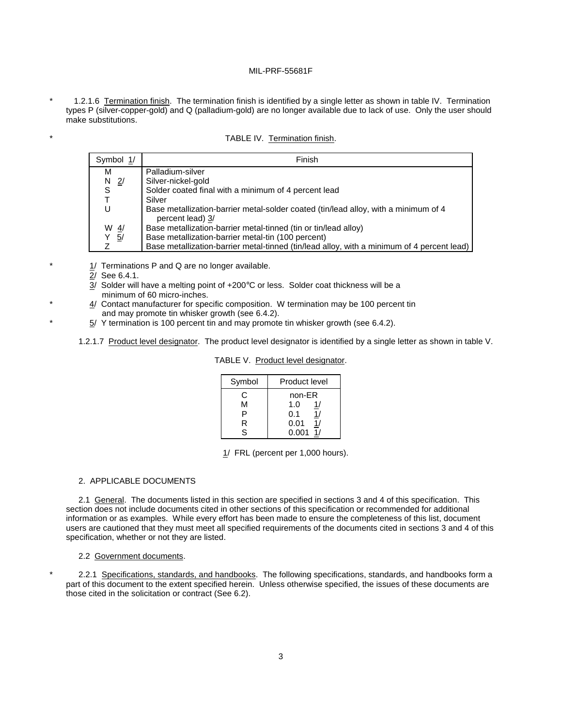1.2.1.6 Termination finish. The termination finish is identified by a single letter as shown in table IV. Termination types P (silver-copper-gold) and Q (palladium-gold) are no longer available due to lack of use. Only the user should make substitutions.

| TABLE IV. Termination finish. |
|-------------------------------|
|                               |

| Symbol 1/       | Finish                                                                                                  |
|-----------------|---------------------------------------------------------------------------------------------------------|
| м               | Palladium-silver                                                                                        |
| $N$ 2/          | Silver-nickel-gold                                                                                      |
| S               | Solder coated final with a minimum of 4 percent lead                                                    |
|                 | Silver                                                                                                  |
|                 | Base metallization-barrier metal-solder coated (tin/lead alloy, with a minimum of 4<br>percent lead) 3/ |
| W $\frac{4}{3}$ | Base metallization-barrier metal-tinned (tin or tin/lead alloy)                                         |
| Y 5/            | Base metallization-barrier metal-tin (100 percent)                                                      |
| 7               | Base metallization-barrier metal-tinned (tin/lead alloy, with a minimum of 4 percent lead)              |

 $1/$  Terminations P and Q are no longer available.

2/ See 6.4.1.

3/ Solder will have a melting point of +200°C or less. Solder coat thickness will be a minimum of 60 micro-inches.

- 4/ Contact manufacturer for specific composition. W termination may be 100 percent tin and may promote tin whisker growth (see 6.4.2).
- $5/$  Y termination is 100 percent tin and may promote tin whisker growth (see 6.4.2).

1.2.1.7 Product level designator. The product level designator is identified by a single letter as shown in table V.

| Symbol | Product level |  |  |
|--------|---------------|--|--|
| C      | non-ER        |  |  |
| м      | 1.0<br>1/     |  |  |
| P      | 0.1<br>1/     |  |  |
| R      | 0.01<br>1/    |  |  |
| S.     | $0.001$ 1/    |  |  |

TABLE V. Product level designator.

1/ FRL (percent per 1,000 hours).

#### 2. APPLICABLE DOCUMENTS

2.1 General. The documents listed in this section are specified in sections 3 and 4 of this specification. This section does not include documents cited in other sections of this specification or recommended for additional information or as examples. While every effort has been made to ensure the completeness of this list, document users are cautioned that they must meet all specified requirements of the documents cited in sections 3 and 4 of this specification, whether or not they are listed.

#### 2.2 Government documents.

2.2.1 Specifications, standards, and handbooks. The following specifications, standards, and handbooks form a part of this document to the extent specified herein. Unless otherwise specified, the issues of these documents are those cited in the solicitation or contract (See 6.2).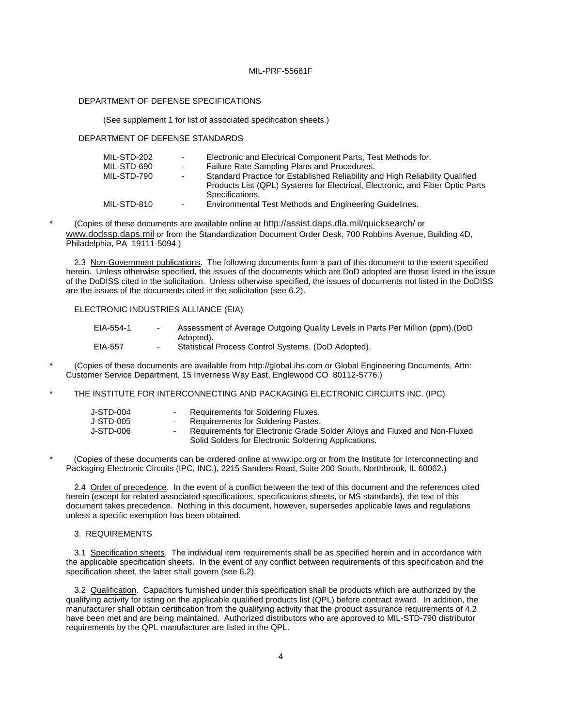# DEPARTMENT OF DEFENSE SPECIFICATIONS

(See supplement 1 for list of associated specification sheets.)

#### DEPARTMENT OF DEFENSE STANDARDS

| MIL-STD-202 | $\sim$ | Electronic and Electrical Component Parts, Test Methods for.                  |
|-------------|--------|-------------------------------------------------------------------------------|
| MIL-STD-690 | $\sim$ | Failure Rate Sampling Plans and Procedures.                                   |
| MIL-STD-790 | $\sim$ | Standard Practice for Established Reliability and High Reliability Qualified  |
|             |        | Products List (QPL) Systems for Electrical, Electronic, and Fiber Optic Parts |
|             |        | Specifications.                                                               |
| MIL-STD-810 | $\sim$ | Environmental Test Methods and Engineering Guidelines.                        |

\* (Copies of these documents are available online at http://assist.daps.dla.mil/quicksearch/ or www.dodssp.daps.mil or from the Standardization Document Order Desk, 700 Robbins Avenue, Building 4D, Philadelphia, PA 19111-5094.)

2.3 Non-Government publications. The following documents form a part of this document to the extent specified herein. Unless otherwise specified, the issues of the documents which are DoD adopted are those listed in the issue of the DoDISS cited in the solicitation. Unless otherwise specified, the issues of documents not listed in the DoDISS are the issues of the documents cited in the solicitation (see 6.2).

# ELECTRONIC INDUSTRIES ALLIANCE (EIA)

| EIA-554-1 | Assessment of Average Outgoing Quality Levels in Parts Per Million (ppm). (DoD |
|-----------|--------------------------------------------------------------------------------|
|           | Adopted).                                                                      |
| EIA-557   | Statistical Process Control Systems. (DoD Adopted).                            |

- \* (Copies of these documents are available from http://global.ihs.com or Global Engineering Documents, Attn: Customer Service Department, 15 Inverness Way East, Englewood CO 80112-5776.)
- THE INSTITUTE FOR INTERCONNECTING AND PACKAGING ELECTRONIC CIRCUITS INC. (IPC)

| J-STD-004 | - Requirements for Soldering Fluxes.                                      |
|-----------|---------------------------------------------------------------------------|
| J-STD-005 | - Requirements for Soldering Pastes.                                      |
| J-STD-006 | Requirements for Electronic Grade Solder Alloys and Fluxed and Non-Fluxed |
|           | Solid Solders for Electronic Soldering Applications.                      |

(Copies of these documents can be ordered online at www.ipc.org or from the Institute for Interconnecting and Packaging Electronic Circuits (IPC, INC.), 2215 Sanders Road, Suite 200 South, Northbrook, IL 60062.)

2.4 Order of precedence. In the event of a conflict between the text of this document and the references cited herein (except for related associated specifications, specifications sheets, or MS standards), the text of this document takes precedence. Nothing in this document, however, supersedes applicable laws and regulations unless a specific exemption has been obtained.

## 3. REQUIREMENTS

3.1 Specification sheets. The individual item requirements shall be as specified herein and in accordance with the applicable specification sheets. In the event of any conflict between requirements of this specification and the specification sheet, the latter shall govern (see 6.2).

3.2 Qualification. Capacitors furnished under this specification shall be products which are authorized by the qualifying activity for listing on the applicable qualified products list (QPL) before contract award. In addition, the manufacturer shall obtain certification from the qualifying activity that the product assurance requirements of 4.2 have been met and are being maintained. Authorized distributors who are approved to MIL-STD-790 distributor requirements by the QPL manufacturer are listed in the QPL.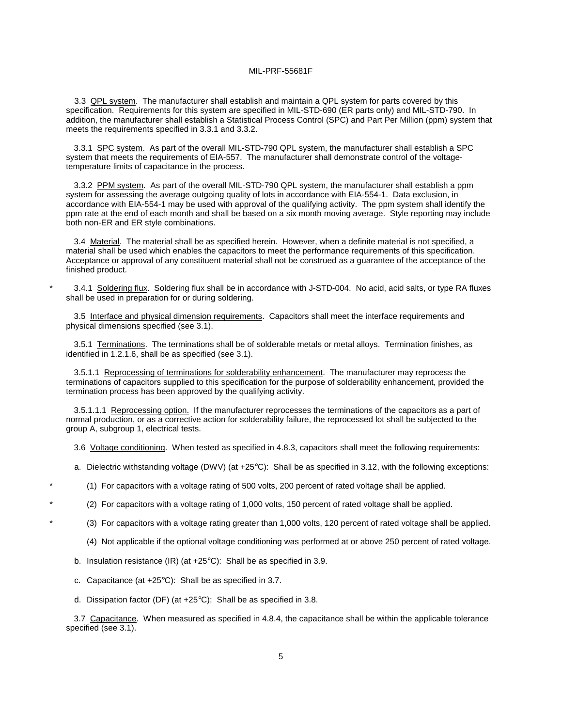3.3 QPL system. The manufacturer shall establish and maintain a QPL system for parts covered by this specification. Requirements for this system are specified in MIL-STD-690 (ER parts only) and MIL-STD-790. In addition, the manufacturer shall establish a Statistical Process Control (SPC) and Part Per Million (ppm) system that meets the requirements specified in 3.3.1 and 3.3.2.

3.3.1 SPC system. As part of the overall MIL-STD-790 QPL system, the manufacturer shall establish a SPC system that meets the requirements of EIA-557. The manufacturer shall demonstrate control of the voltagetemperature limits of capacitance in the process.

3.3.2 PPM system. As part of the overall MIL-STD-790 QPL system, the manufacturer shall establish a ppm system for assessing the average outgoing quality of lots in accordance with EIA-554-1. Data exclusion, in accordance with EIA-554-1 may be used with approval of the qualifying activity. The ppm system shall identify the ppm rate at the end of each month and shall be based on a six month moving average. Style reporting may include both non-ER and ER style combinations.

3.4 Material. The material shall be as specified herein. However, when a definite material is not specified, a material shall be used which enables the capacitors to meet the performance requirements of this specification. Acceptance or approval of any constituent material shall not be construed as a guarantee of the acceptance of the finished product.

3.4.1 Soldering flux. Soldering flux shall be in accordance with J-STD-004. No acid, acid salts, or type RA fluxes shall be used in preparation for or during soldering.

3.5 Interface and physical dimension requirements. Capacitors shall meet the interface requirements and physical dimensions specified (see 3.1).

3.5.1 Terminations. The terminations shall be of solderable metals or metal alloys. Termination finishes, as identified in 1.2.1.6, shall be as specified (see 3.1).

3.5.1.1 Reprocessing of terminations for solderability enhancement. The manufacturer may reprocess the terminations of capacitors supplied to this specification for the purpose of solderability enhancement, provided the termination process has been approved by the qualifying activity.

3.5.1.1.1 Reprocessing option. If the manufacturer reprocesses the terminations of the capacitors as a part of normal production, or as a corrective action for solderability failure, the reprocessed lot shall be subjected to the group A, subgroup 1, electrical tests.

3.6 Voltage conditioning. When tested as specified in 4.8.3, capacitors shall meet the following requirements:

a. Dielectric withstanding voltage (DWV) (at +25°C): Shall be as specified in 3.12, with the following exceptions:

\* (1) For capacitors with a voltage rating of 500 volts, 200 percent of rated voltage shall be applied.

(2) For capacitors with a voltage rating of 1,000 volts, 150 percent of rated voltage shall be applied.

(3) For capacitors with a voltage rating greater than 1,000 volts, 120 percent of rated voltage shall be applied.

- (4) Not applicable if the optional voltage conditioning was performed at or above 250 percent of rated voltage.
- b. Insulation resistance (IR) (at +25°C): Shall be as specified in 3.9.
- c. Capacitance (at +25°C): Shall be as specified in 3.7.
- d. Dissipation factor (DF) (at +25°C): Shall be as specified in 3.8.

3.7 Capacitance. When measured as specified in 4.8.4, the capacitance shall be within the applicable tolerance specified (see 3.1).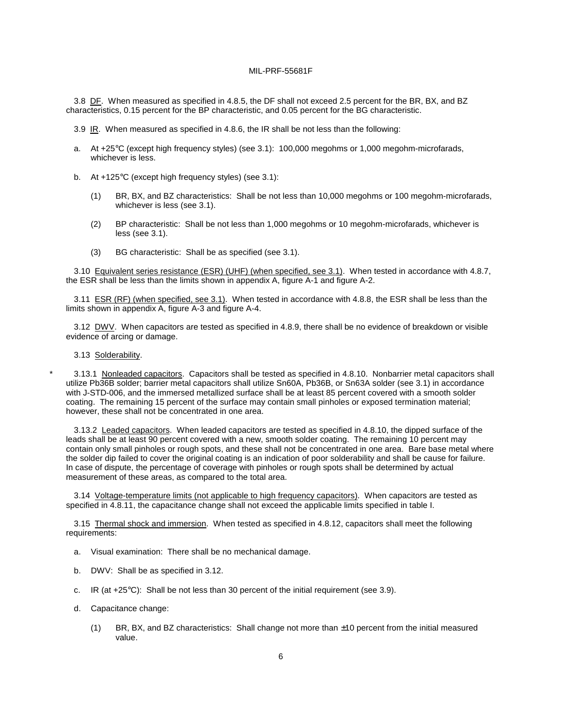3.8 DF. When measured as specified in 4.8.5, the DF shall not exceed 2.5 percent for the BR, BX, and BZ characteristics, 0.15 percent for the BP characteristic, and 0.05 percent for the BG characteristic.

- 3.9 IR. When measured as specified in 4.8.6, the IR shall be not less than the following:
- a. At +25°C (except high frequency styles) (see 3.1): 100,000 megohms or 1,000 megohm-microfarads, whichever is less.
- b. At +125°C (except high frequency styles) (see 3.1):
	- (1) BR, BX, and BZ characteristics: Shall be not less than 10,000 megohms or 100 megohm-microfarads, whichever is less (see 3.1).
	- (2) BP characteristic: Shall be not less than 1,000 megohms or 10 megohm-microfarads, whichever is less (see 3.1).
	- (3) BG characteristic: Shall be as specified (see 3.1).

3.10 Equivalent series resistance (ESR) (UHF) (when specified, see 3.1). When tested in accordance with 4.8.7, the ESR shall be less than the limits shown in appendix A, figure A-1 and figure A-2.

3.11 ESR (RF) (when specified, see 3.1). When tested in accordance with 4.8.8, the ESR shall be less than the limits shown in appendix A, figure A-3 and figure A-4.

3.12 DWV. When capacitors are tested as specified in 4.8.9, there shall be no evidence of breakdown or visible evidence of arcing or damage.

3.13 Solderability.

3.13.1 Nonleaded capacitors. Capacitors shall be tested as specified in 4.8.10. Nonbarrier metal capacitors shall utilize Pb36B solder; barrier metal capacitors shall utilize Sn60A, Pb36B, or Sn63A solder (see 3.1) in accordance with J-STD-006, and the immersed metallized surface shall be at least 85 percent covered with a smooth solder coating. The remaining 15 percent of the surface may contain small pinholes or exposed termination material; however, these shall not be concentrated in one area.

3.13.2 Leaded capacitors. When leaded capacitors are tested as specified in 4.8.10, the dipped surface of the leads shall be at least 90 percent covered with a new, smooth solder coating. The remaining 10 percent may contain only small pinholes or rough spots, and these shall not be concentrated in one area. Bare base metal where the solder dip failed to cover the original coating is an indication of poor solderability and shall be cause for failure. In case of dispute, the percentage of coverage with pinholes or rough spots shall be determined by actual measurement of these areas, as compared to the total area.

3.14 Voltage-temperature limits (not applicable to high frequency capacitors). When capacitors are tested as specified in 4.8.11, the capacitance change shall not exceed the applicable limits specified in table I.

3.15 Thermal shock and immersion. When tested as specified in 4.8.12, capacitors shall meet the following requirements:

- a. Visual examination: There shall be no mechanical damage.
- b. DWV: Shall be as specified in 3.12.
- c. IR (at +25°C): Shall be not less than 30 percent of the initial requirement (see 3.9).
- d. Capacitance change:
	- (1) BR, BX, and BZ characteristics: Shall change not more than ±10 percent from the initial measured value.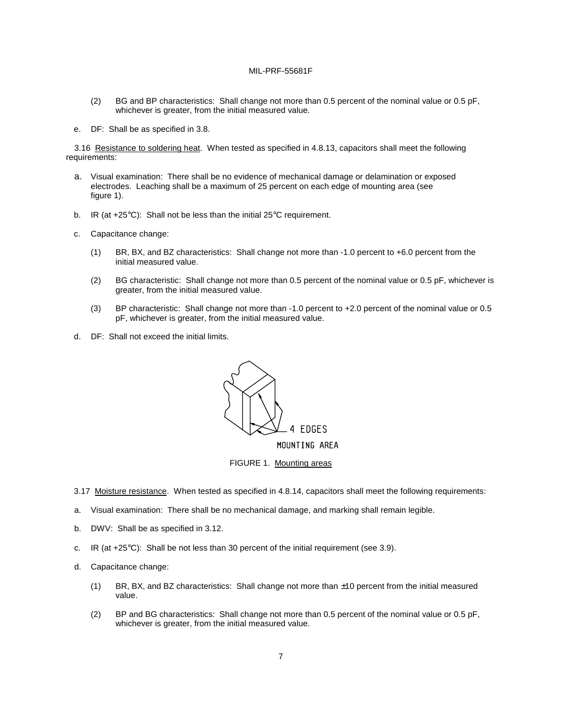- (2) BG and BP characteristics: Shall change not more than 0.5 percent of the nominal value or 0.5 pF, whichever is greater, from the initial measured value.
- e. DF: Shall be as specified in 3.8.

3.16 Resistance to soldering heat. When tested as specified in 4.8.13, capacitors shall meet the following requirements:

- a. Visual examination: There shall be no evidence of mechanical damage or delamination or exposed electrodes. Leaching shall be a maximum of 25 percent on each edge of mounting area (see figure 1).
- b. IR (at +25°C): Shall not be less than the initial 25°C requirement.
- c. Capacitance change:
	- (1) BR, BX, and BZ characteristics: Shall change not more than -1.0 percent to +6.0 percent from the initial measured value.
	- (2) BG characteristic: Shall change not more than 0.5 percent of the nominal value or 0.5 pF, whichever is greater, from the initial measured value.
	- (3) BP characteristic: Shall change not more than -1.0 percent to +2.0 percent of the nominal value or 0.5 pF, whichever is greater, from the initial measured value.
- d. DF: Shall not exceed the initial limits.



FIGURE 1. Mounting areas

- 3.17 Moisture resistance. When tested as specified in 4.8.14, capacitors shall meet the following requirements:
- a. Visual examination: There shall be no mechanical damage, and marking shall remain legible.
- b. DWV: Shall be as specified in 3.12.
- c. IR (at  $+25^{\circ}$ C): Shall be not less than 30 percent of the initial requirement (see 3.9).
- d. Capacitance change:
	- (1) BR, BX, and BZ characteristics: Shall change not more than  $\pm 10$  percent from the initial measured value.
	- (2) BP and BG characteristics: Shall change not more than 0.5 percent of the nominal value or 0.5 pF, whichever is greater, from the initial measured value.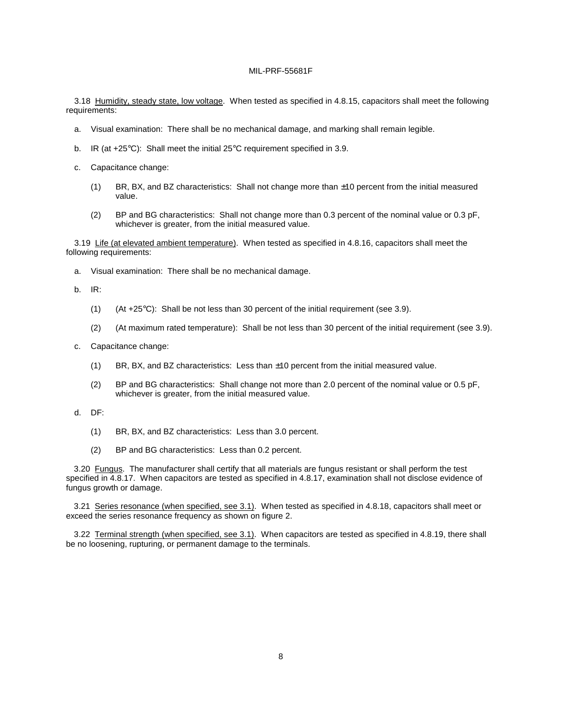3.18 Humidity, steady state, low voltage. When tested as specified in 4.8.15, capacitors shall meet the following requirements:

- a. Visual examination: There shall be no mechanical damage, and marking shall remain legible.
- b. IR (at +25°C): Shall meet the initial 25°C requirement specified in 3.9.
- c. Capacitance change:
	- (1) BR, BX, and BZ characteristics: Shall not change more than ±10 percent from the initial measured value.
	- (2) BP and BG characteristics: Shall not change more than 0.3 percent of the nominal value or 0.3 pF, whichever is greater, from the initial measured value.

3.19 Life (at elevated ambient temperature). When tested as specified in 4.8.16, capacitors shall meet the following requirements:

a. Visual examination: There shall be no mechanical damage.

b. IR:

- (1) (At  $+25^{\circ}$ C): Shall be not less than 30 percent of the initial requirement (see 3.9).
- (2) (At maximum rated temperature): Shall be not less than 30 percent of the initial requirement (see 3.9).
- c. Capacitance change:
	- (1) BR, BX, and BZ characteristics: Less than ±10 percent from the initial measured value.
	- (2) BP and BG characteristics: Shall change not more than 2.0 percent of the nominal value or 0.5 pF, whichever is greater, from the initial measured value.
- d. DF:
	- (1) BR, BX, and BZ characteristics: Less than 3.0 percent.
	- (2) BP and BG characteristics: Less than 0.2 percent.

3.20 Fungus. The manufacturer shall certify that all materials are fungus resistant or shall perform the test specified in 4.8.17. When capacitors are tested as specified in 4.8.17, examination shall not disclose evidence of fungus growth or damage.

3.21 Series resonance (when specified, see 3.1). When tested as specified in 4.8.18, capacitors shall meet or exceed the series resonance frequency as shown on figure 2.

3.22 Terminal strength (when specified, see 3.1). When capacitors are tested as specified in 4.8.19, there shall be no loosening, rupturing, or permanent damage to the terminals.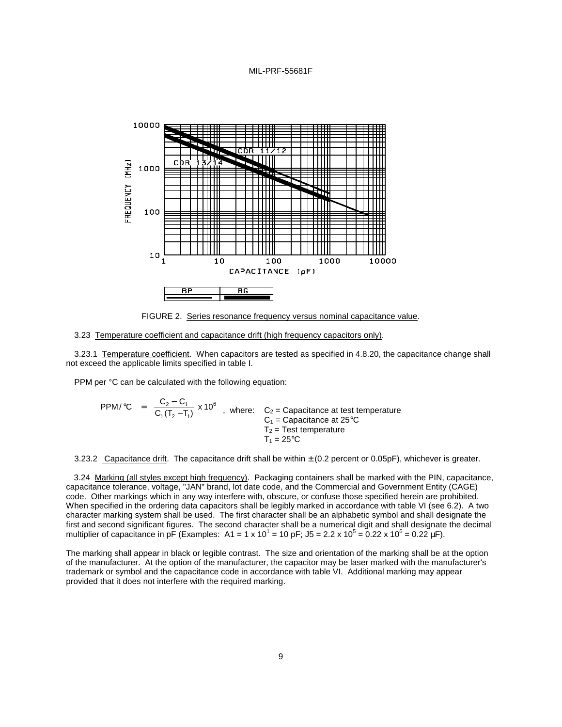



#### 3.23 Temperature coefficient and capacitance drift (high frequency capacitors only).

3.23.1 Temperature coefficient. When capacitors are tested as specified in 4.8.20, the capacitance change shall not exceed the applicable limits specified in table I.

PPM per °C can be calculated with the following equation:

PPM/
$$
^{\circ}
$$
C =  $\frac{C_2 - C_1}{C_1(T_2 - T_1)}$  x 10<sup>6</sup> , where: C<sub>2</sub> = Capacitance at test temperature  
C<sub>1</sub> = Capacitance at 25°C  
T<sub>2</sub> = Test temperature  
T<sub>1</sub> = 25°C

3.23.2 Capacitance drift. The capacitance drift shall be within  $\pm$  (0.2 percent or 0.05pF), whichever is greater.

3.24 Marking (all styles except high frequency). Packaging containers shall be marked with the PIN, capacitance, capacitance tolerance, voltage, "JAN" brand, lot date code, and the Commercial and Government Entity (CAGE) code. Other markings which in any way interfere with, obscure, or confuse those specified herein are prohibited. When specified in the ordering data capacitors shall be legibly marked in accordance with table VI (see 6.2). A two character marking system shall be used. The first character shall be an alphabetic symbol and shall designate the first and second significant figures. The second character shall be a numerical digit and shall designate the decimal multiplier of capacitance in pF (Examples: A1 = 1 x 10<sup>1</sup> = 10 pF; J5 = 2.2 x 10<sup>5</sup> = 0.22 x 10<sup>6</sup> = 0.22 µF).

The marking shall appear in black or legible contrast. The size and orientation of the marking shall be at the option of the manufacturer. At the option of the manufacturer, the capacitor may be laser marked with the manufacturer's trademark or symbol and the capacitance code in accordance with table VI. Additional marking may appear provided that it does not interfere with the required marking.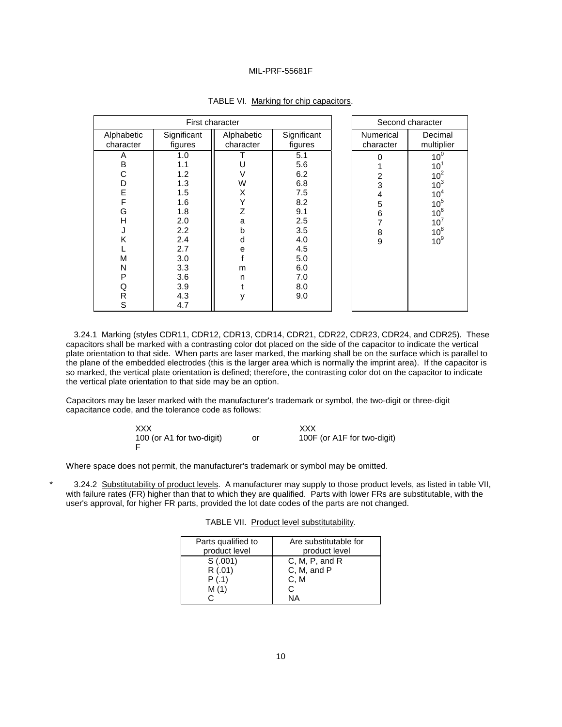| First character         |                          |                         |                          |  |                               | Second character                                      |
|-------------------------|--------------------------|-------------------------|--------------------------|--|-------------------------------|-------------------------------------------------------|
| Alphabetic<br>character | Significant<br>figures   | Alphabetic<br>character | Significant<br>figures   |  | <b>Numerical</b><br>character | Decimal<br>multiplier                                 |
| A<br>B<br>С             | 1.0<br>1.1<br>1.2        |                         | 5.1<br>5.6<br>6.2        |  | 2                             | 10 <sup>0</sup><br>$10^1$<br>10 <sup>2</sup>          |
| D<br>E<br>F             | 1.3<br>1.5<br>1.6        | W<br>X                  | 6.8<br>7.5<br>8.2        |  | 3<br>4<br>5                   | 10 <sup>3</sup><br>10 <sup>4</sup><br>10 <sup>5</sup> |
| G<br>н<br>J             | 1.8<br>2.0<br>$2.2\,$    | Z<br>a<br>b             | 9.1<br>2.5<br>3.5        |  | 6<br>7<br>8                   | 10 <sup>6</sup><br>10 <sup>7</sup><br>$10^8$          |
| Κ<br>М<br>N             | 2.4<br>2.7<br>3.0<br>3.3 | d<br>е                  | 4.0<br>4.5<br>5.0<br>6.0 |  | 9                             | 10 <sup>9</sup>                                       |
| P<br>Q<br>R             | 3.6<br>3.9<br>4.3        | m<br>n<br>٧             | 7.0<br>8.0<br>9.0        |  |                               |                                                       |
| S                       | 4.7                      |                         |                          |  |                               |                                                       |

# TABLE VI. Marking for chip capacitors.

3.24.1 Marking (styles CDR11, CDR12, CDR13, CDR14, CDR21, CDR22, CDR23, CDR24, and CDR25). These capacitors shall be marked with a contrasting color dot placed on the side of the capacitor to indicate the vertical plate orientation to that side. When parts are laser marked, the marking shall be on the surface which is parallel to the plane of the embedded electrodes (this is the larger area which is normally the imprint area). If the capacitor is so marked, the vertical plate orientation is defined; therefore, the contrasting color dot on the capacitor to indicate the vertical plate orientation to that side may be an option.

Capacitors may be laser marked with the manufacturer's trademark or symbol, the two-digit or three-digit capacitance code, and the tolerance code as follows:

| XXX                       | XXX                         |
|---------------------------|-----------------------------|
| 100 (or A1 for two-digit) | 100F (or A1F for two-digit) |

Where space does not permit, the manufacturer's trademark or symbol may be omitted.

3.24.2 Substitutability of product levels. A manufacturer may supply to those product levels, as listed in table VII, with failure rates (FR) higher than that to which they are qualified. Parts with lower FRs are substitutable, with the user's approval, for higher FR parts, provided the lot date codes of the parts are not changed.

|  | TABLE VII. Product level substitutability. |
|--|--------------------------------------------|
|  |                                            |

| Parts qualified to | Are substitutable for |
|--------------------|-----------------------|
| product level      | product level         |
| S(.001)            | C, M, P, and R        |
| R(.01)             | C, M, and P           |
| P(.1)              | C.M                   |
| M(1)               | C.                    |
|                    | NΑ                    |
|                    |                       |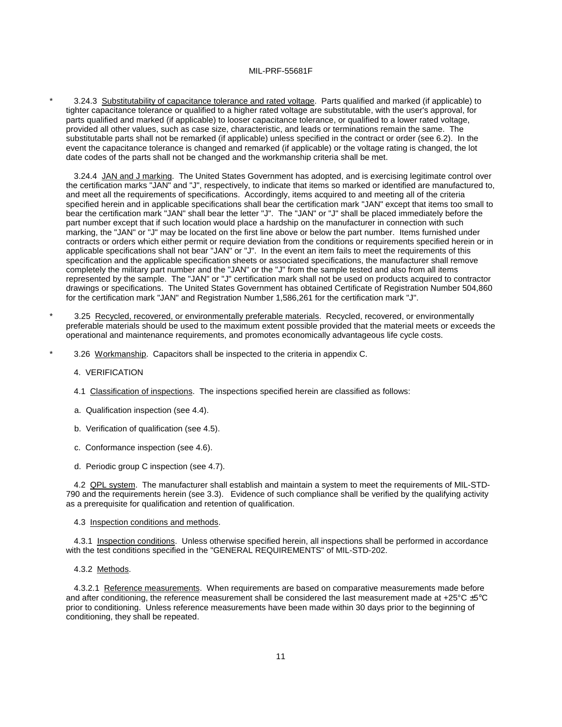3.24.3 Substitutability of capacitance tolerance and rated voltage. Parts qualified and marked (if applicable) to tighter capacitance tolerance or qualified to a higher rated voltage are substitutable, with the user's approval, for parts qualified and marked (if applicable) to looser capacitance tolerance, or qualified to a lower rated voltage, provided all other values, such as case size, characteristic, and leads or terminations remain the same. The substitutable parts shall not be remarked (if applicable) unless specified in the contract or order (see 6.2). In the event the capacitance tolerance is changed and remarked (if applicable) or the voltage rating is changed, the lot date codes of the parts shall not be changed and the workmanship criteria shall be met.

3.24.4 JAN and J marking. The United States Government has adopted, and is exercising legitimate control over the certification marks "JAN" and "J", respectively, to indicate that items so marked or identified are manufactured to, and meet all the requirements of specifications. Accordingly, items acquired to and meeting all of the criteria specified herein and in applicable specifications shall bear the certification mark "JAN" except that items too small to bear the certification mark "JAN" shall bear the letter "J". The "JAN" or "J" shall be placed immediately before the part number except that if such location would place a hardship on the manufacturer in connection with such marking, the "JAN" or "J" may be located on the first line above or below the part number. Items furnished under contracts or orders which either permit or require deviation from the conditions or requirements specified herein or in applicable specifications shall not bear "JAN" or "J". In the event an item fails to meet the requirements of this specification and the applicable specification sheets or associated specifications, the manufacturer shall remove completely the military part number and the "JAN" or the "J" from the sample tested and also from all items represented by the sample. The "JAN" or "J" certification mark shall not be used on products acquired to contractor drawings or specifications. The United States Government has obtained Certificate of Registration Number 504,860 for the certification mark "JAN" and Registration Number 1,586,261 for the certification mark "J".

- 3.25 Recycled, recovered, or environmentally preferable materials. Recycled, recovered, or environmentally preferable materials should be used to the maximum extent possible provided that the material meets or exceeds the operational and maintenance requirements, and promotes economically advantageous life cycle costs.
- 3.26 Workmanship. Capacitors shall be inspected to the criteria in appendix C.

#### 4. VERIFICATION

- 4.1 Classification of inspections. The inspections specified herein are classified as follows:
- a. Qualification inspection (see 4.4).
- b. Verification of qualification (see 4.5).
- c. Conformance inspection (see 4.6).
- d. Periodic group C inspection (see 4.7).

4.2 QPL system. The manufacturer shall establish and maintain a system to meet the requirements of MIL-STD-790 and the requirements herein (see 3.3). Evidence of such compliance shall be verified by the qualifying activity as a prerequisite for qualification and retention of qualification.

#### 4.3 Inspection conditions and methods.

4.3.1 Inspection conditions. Unless otherwise specified herein, all inspections shall be performed in accordance with the test conditions specified in the "GENERAL REQUIREMENTS" of MIL-STD-202.

#### 4.3.2 Methods.

4.3.2.1 Reference measurements. When requirements are based on comparative measurements made before and after conditioning, the reference measurement shall be considered the last measurement made at +25°C ±5°C prior to conditioning. Unless reference measurements have been made within 30 days prior to the beginning of conditioning, they shall be repeated.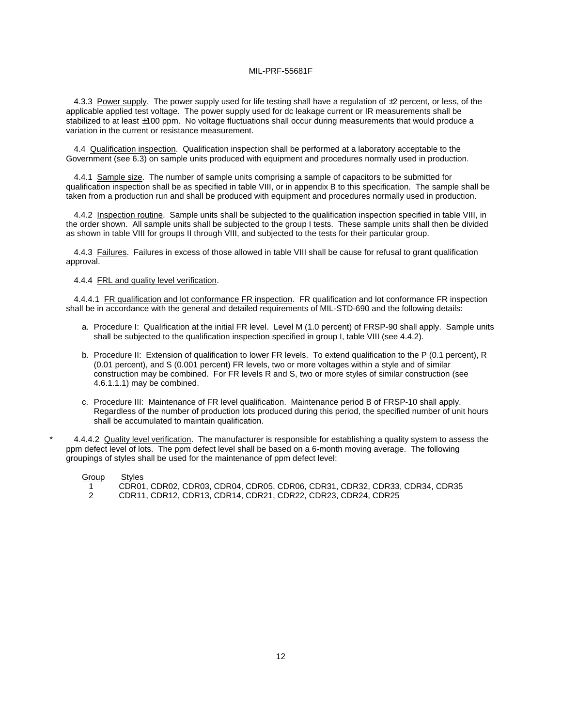4.3.3 Power supply. The power supply used for life testing shall have a regulation of  $\pm 2$  percent, or less, of the applicable applied test voltage. The power supply used for dc leakage current or IR measurements shall be stabilized to at least ±100 ppm. No voltage fluctuations shall occur during measurements that would produce a variation in the current or resistance measurement.

4.4 Qualification inspection. Qualification inspection shall be performed at a laboratory acceptable to the Government (see 6.3) on sample units produced with equipment and procedures normally used in production.

4.4.1 Sample size. The number of sample units comprising a sample of capacitors to be submitted for qualification inspection shall be as specified in table VIII, or in appendix B to this specification. The sample shall be taken from a production run and shall be produced with equipment and procedures normally used in production.

4.4.2 Inspection routine. Sample units shall be subjected to the qualification inspection specified in table VIII, in the order shown. All sample units shall be subjected to the group I tests. These sample units shall then be divided as shown in table VIII for groups II through VIII, and subjected to the tests for their particular group.

4.4.3 Failures. Failures in excess of those allowed in table VIII shall be cause for refusal to grant qualification approval.

#### 4.4.4 FRL and quality level verification.

4.4.4.1 FR qualification and lot conformance FR inspection. FR qualification and lot conformance FR inspection shall be in accordance with the general and detailed requirements of MIL-STD-690 and the following details:

- a. Procedure I: Qualification at the initial FR level. Level M (1.0 percent) of FRSP-90 shall apply. Sample units shall be subjected to the qualification inspection specified in group I, table VIII (see 4.4.2).
- b. Procedure II: Extension of qualification to lower FR levels. To extend qualification to the P (0.1 percent), R (0.01 percent), and S (0.001 percent) FR levels, two or more voltages within a style and of similar construction may be combined. For FR levels R and S, two or more styles of similar construction (see 4.6.1.1.1) may be combined.
- c. Procedure III: Maintenance of FR level qualification. Maintenance period B of FRSP-10 shall apply. Regardless of the number of production lots produced during this period, the specified number of unit hours shall be accumulated to maintain qualification.

4.4.4.2 Quality level verification. The manufacturer is responsible for establishing a quality system to assess the ppm defect level of lots. The ppm defect level shall be based on a 6-month moving average. The following groupings of styles shall be used for the maintenance of ppm defect level:

| Group | Styles                                                                      |
|-------|-----------------------------------------------------------------------------|
|       | CDR01, CDR02, CDR03, CDR04, CDR05, CDR06, CDR31, CDR32, CDR33, CDR34, CDR35 |
|       | CDR11, CDR12, CDR13, CDR14, CDR21, CDR22, CDR23, CDR24, CDR25               |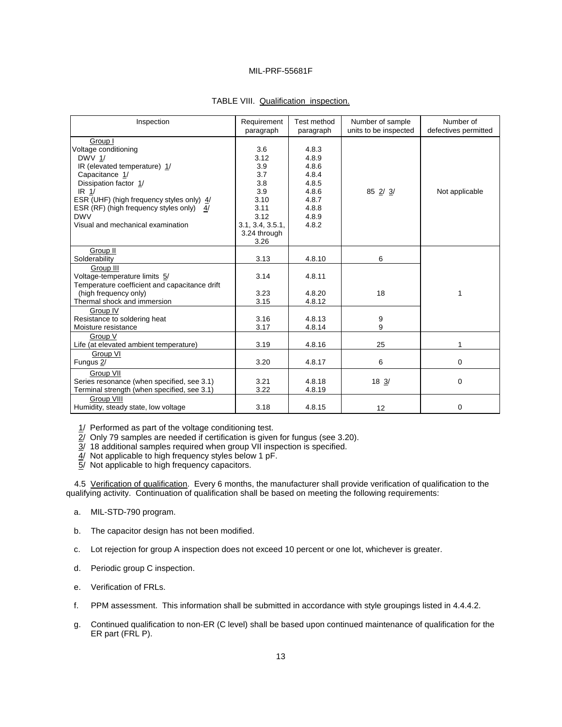| Inspection                                                                                                                                                                                                                                                                                   | Requirement<br>paragraph                                                                                    | Test method<br>paragraph                                                               | Number of sample<br>units to be inspected | Number of<br>defectives permitted |
|----------------------------------------------------------------------------------------------------------------------------------------------------------------------------------------------------------------------------------------------------------------------------------------------|-------------------------------------------------------------------------------------------------------------|----------------------------------------------------------------------------------------|-------------------------------------------|-----------------------------------|
| Group I<br>Voltage conditioning<br><b>DWV 1/</b><br>IR (elevated temperature) 1/<br>Capacitance 1/<br>Dissipation factor 1/<br>IR <sub>1</sub> /<br>ESR (UHF) (high frequency styles only) 4/<br>ESR (RF) (high frequency styles only) 4/<br><b>DWV</b><br>Visual and mechanical examination | 3.6<br>3.12<br>3.9<br>3.7<br>3.8<br>3.9<br>3.10<br>3.11<br>3.12<br>3.1, 3.4, 3.5.1,<br>3.24 through<br>3.26 | 4.8.3<br>4.8.9<br>4.8.6<br>4.8.4<br>4.8.5<br>4.8.6<br>4.8.7<br>4.8.8<br>4.8.9<br>4.8.2 | 85 2/ 3/                                  | Not applicable                    |
| Group II<br>Solderability                                                                                                                                                                                                                                                                    | 3.13                                                                                                        | 4.8.10                                                                                 | 6                                         |                                   |
| Group III<br>Voltage-temperature limits 5/<br>Temperature coefficient and capacitance drift<br>(high frequency only)<br>Thermal shock and immersion                                                                                                                                          | 3.14<br>3.23<br>3.15                                                                                        | 4.8.11<br>4.8.20<br>4.8.12                                                             | 18                                        | 1                                 |
| Group IV<br>Resistance to soldering heat<br>Moisture resistance                                                                                                                                                                                                                              | 3.16<br>3.17                                                                                                | 4.8.13<br>4.8.14                                                                       | 9<br>9                                    |                                   |
| Group V<br>Life (at elevated ambient temperature)                                                                                                                                                                                                                                            | 3.19                                                                                                        | 4.8.16                                                                                 | 25                                        | 1                                 |
| Group VI<br>Fungus 2/                                                                                                                                                                                                                                                                        | 3.20                                                                                                        | 4.8.17                                                                                 | 6                                         | $\mathbf 0$                       |
| Group VII<br>Series resonance (when specified, see 3.1)<br>Terminal strength (when specified, see 3.1)                                                                                                                                                                                       | 3.21<br>3.22                                                                                                | 4.8.18<br>4.8.19                                                                       | $18 \frac{3}{2}$                          | $\mathbf 0$                       |
| Group VIII<br>Humidity, steady state, low voltage                                                                                                                                                                                                                                            | 3.18                                                                                                        | 4.8.15                                                                                 | 12                                        | $\mathbf 0$                       |

# TABLE VIII. Qualification inspection.

1/ Performed as part of the voltage conditioning test.

 $\overline{2}$ / Only 79 samples are needed if certification is given for fungus (see 3.20).

 $\overline{3}$ / 18 additional samples required when group VII inspection is specified.

4/ Not applicable to high frequency styles below 1 pF.

5/ Not applicable to high frequency capacitors.

4.5 Verification of qualification. Every 6 months, the manufacturer shall provide verification of qualification to the qualifying activity. Continuation of qualification shall be based on meeting the following requirements:

- a. MIL-STD-790 program.
- b. The capacitor design has not been modified.
- c. Lot rejection for group A inspection does not exceed 10 percent or one lot, whichever is greater.
- d. Periodic group C inspection.
- e. Verification of FRLs.
- f. PPM assessment. This information shall be submitted in accordance with style groupings listed in 4.4.4.2.
- g. Continued qualification to non-ER (C level) shall be based upon continued maintenance of qualification for the ER part (FRL P).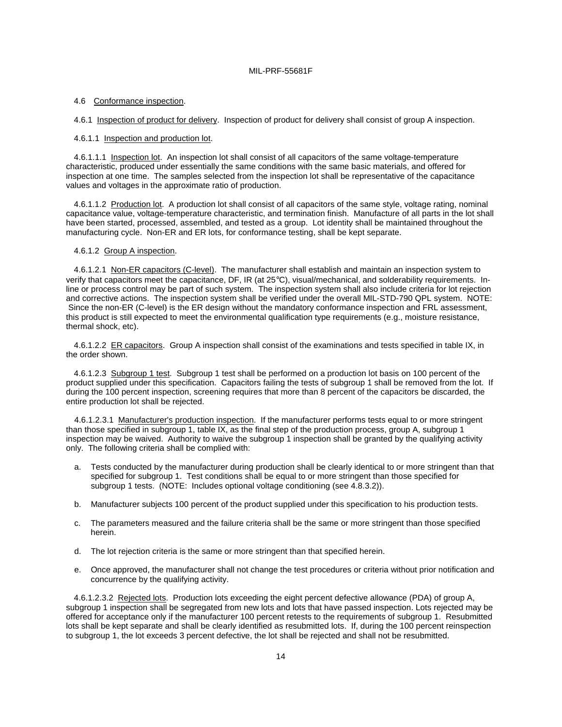#### 4.6 Conformance inspection.

4.6.1 Inspection of product for delivery. Inspection of product for delivery shall consist of group A inspection.

#### 4.6.1.1 Inspection and production lot.

4.6.1.1.1 Inspection lot. An inspection lot shall consist of all capacitors of the same voltage-temperature characteristic, produced under essentially the same conditions with the same basic materials, and offered for inspection at one time. The samples selected from the inspection lot shall be representative of the capacitance values and voltages in the approximate ratio of production.

4.6.1.1.2 Production lot. A production lot shall consist of all capacitors of the same style, voltage rating, nominal capacitance value, voltage-temperature characteristic, and termination finish. Manufacture of all parts in the lot shall have been started, processed, assembled, and tested as a group. Lot identity shall be maintained throughout the manufacturing cycle. Non-ER and ER lots, for conformance testing, shall be kept separate.

## 4.6.1.2 Group A inspection.

4.6.1.2.1 Non-ER capacitors (C-level). The manufacturer shall establish and maintain an inspection system to verify that capacitors meet the capacitance, DF, IR (at 25°C), visual/mechanical, and solderability requirements. Inline or process control may be part of such system. The inspection system shall also include criteria for lot rejection and corrective actions. The inspection system shall be verified under the overall MIL-STD-790 QPL system. NOTE: Since the non-ER (C-level) is the ER design without the mandatory conformance inspection and FRL assessment, this product is still expected to meet the environmental qualification type requirements (e.g., moisture resistance, thermal shock, etc).

4.6.1.2.2 ER capacitors. Group A inspection shall consist of the examinations and tests specified in table IX, in the order shown.

4.6.1.2.3 Subgroup 1 test. Subgroup 1 test shall be performed on a production lot basis on 100 percent of the product supplied under this specification. Capacitors failing the tests of subgroup 1 shall be removed from the lot. If during the 100 percent inspection, screening requires that more than 8 percent of the capacitors be discarded, the entire production lot shall be rejected.

4.6.1.2.3.1 Manufacturer's production inspection. If the manufacturer performs tests equal to or more stringent than those specified in subgroup 1, table IX, as the final step of the production process, group A, subgroup 1 inspection may be waived. Authority to waive the subgroup 1 inspection shall be granted by the qualifying activity only. The following criteria shall be complied with:

- a. Tests conducted by the manufacturer during production shall be clearly identical to or more stringent than that specified for subgroup 1. Test conditions shall be equal to or more stringent than those specified for subgroup 1 tests. (NOTE: Includes optional voltage conditioning (see 4.8.3.2)).
- b. Manufacturer subjects 100 percent of the product supplied under this specification to his production tests.
- c. The parameters measured and the failure criteria shall be the same or more stringent than those specified herein.
- d. The lot rejection criteria is the same or more stringent than that specified herein.
- e. Once approved, the manufacturer shall not change the test procedures or criteria without prior notification and concurrence by the qualifying activity.

4.6.1.2.3.2 Rejected lots. Production lots exceeding the eight percent defective allowance (PDA) of group A, subgroup 1 inspection shall be segregated from new lots and lots that have passed inspection. Lots rejected may be offered for acceptance only if the manufacturer 100 percent retests to the requirements of subgroup 1. Resubmitted lots shall be kept separate and shall be clearly identified as resubmitted lots. If, during the 100 percent reinspection to subgroup 1, the lot exceeds 3 percent defective, the lot shall be rejected and shall not be resubmitted.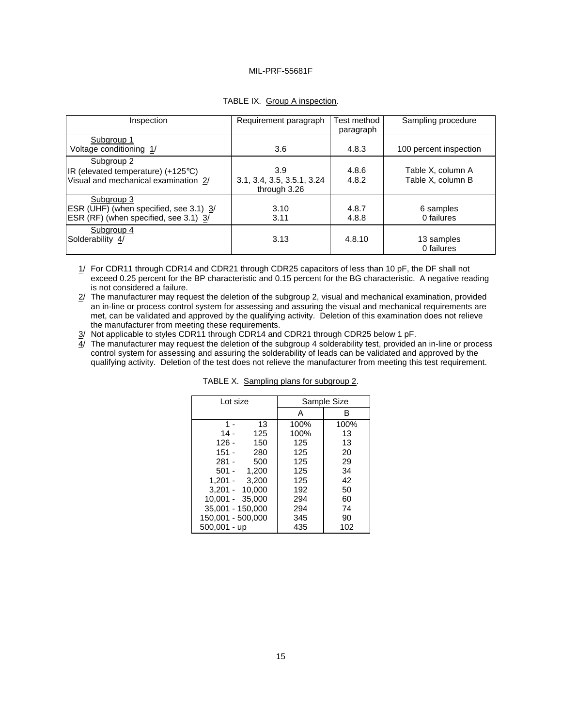| Inspection                                                                                          | Requirement paragraph                             | Test method<br>paragraph | Sampling procedure                     |
|-----------------------------------------------------------------------------------------------------|---------------------------------------------------|--------------------------|----------------------------------------|
| Subgroup 1<br>Voltage conditioning 1/                                                               | 3.6                                               | 4.8.3                    | 100 percent inspection                 |
| Subgroup <sub>2</sub><br>IR (elevated temperature) (+125°C)<br>Visual and mechanical examination 2/ | 3.9<br>3.1, 3.4, 3.5, 3.5.1, 3.24<br>through 3.26 | 4.8.6<br>4.8.2           | Table X, column A<br>Table X, column B |
| Subgroup 3<br>ESR (UHF) (when specified, see 3.1) 3/<br>ESR (RF) (when specified, see 3.1) 3/       | 3.10<br>3.11                                      | 4.8.7<br>4.8.8           | 6 samples<br>0 failures                |
| Subgroup 4<br>Solderability 4/                                                                      | 3.13                                              | 4.8.10                   | 13 samples<br>0 failures               |

# TABLE IX. Group A inspection.

1/ For CDR11 through CDR14 and CDR21 through CDR25 capacitors of less than 10 pF, the DF shall not exceed 0.25 percent for the BP characteristic and 0.15 percent for the BG characteristic. A negative reading is not considered a failure.

 $2/$  The manufacturer may request the deletion of the subgroup 2, visual and mechanical examination, provided an in-line or process control system for assessing and assuring the visual and mechanical requirements are met, can be validated and approved by the qualifying activity. Deletion of this examination does not relieve the manufacturer from meeting these requirements.

3/ Not applicable to styles CDR11 through CDR14 and CDR21 through CDR25 below 1 pF.

4/ The manufacturer may request the deletion of the subgroup 4 solderability test, provided an in-line or process control system for assessing and assuring the solderability of leads can be validated and approved by the qualifying activity. Deletion of the test does not relieve the manufacturer from meeting this test requirement.

| Lot size          | Sample Size |      |
|-------------------|-------------|------|
|                   | A           | в    |
| 13<br>1 -         | 100%        | 100% |
| 14 -<br>125       | 100%        | 13   |
| $126 -$<br>150    | 125         | 13   |
| $151 -$<br>280    | 125         | 20   |
| $281 -$<br>500    | 125         | 29   |
| $501 - 1.200$     | 125         | 34   |
| $1,201 - 3,200$   | 125         | 42   |
| $3,201 - 10,000$  | 192         | 50   |
| 10.001 - 35.000   | 294         | 60   |
| 35,001 - 150,000  | 294         | 74   |
| 150,001 - 500,000 | 345         | 90   |
| $500,001 - up$    | 435         | 102  |

|  | TABLE X. Sampling plans for subgroup 2. |
|--|-----------------------------------------|
|  |                                         |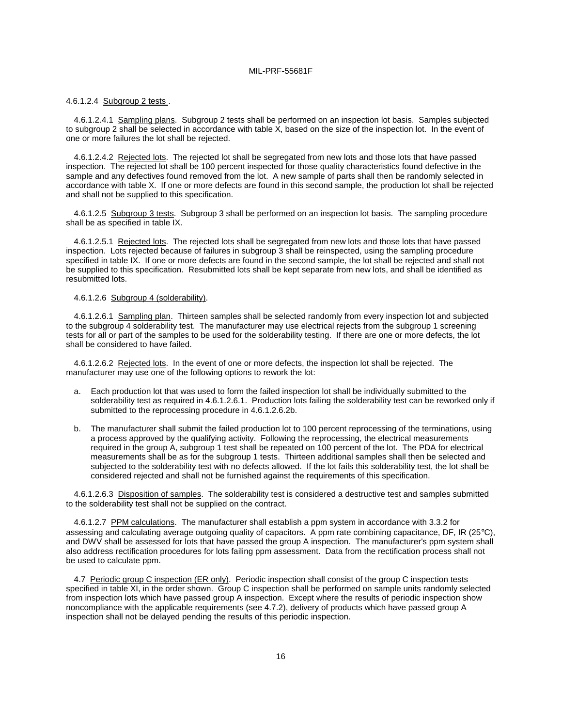#### 4.6.1.2.4 Subgroup 2 tests .

4.6.1.2.4.1 Sampling plans. Subgroup 2 tests shall be performed on an inspection lot basis. Samples subjected to subgroup 2 shall be selected in accordance with table X, based on the size of the inspection lot. In the event of one or more failures the lot shall be rejected.

4.6.1.2.4.2 Rejected lots. The rejected lot shall be segregated from new lots and those lots that have passed inspection. The rejected lot shall be 100 percent inspected for those quality characteristics found defective in the sample and any defectives found removed from the lot. A new sample of parts shall then be randomly selected in accordance with table X. If one or more defects are found in this second sample, the production lot shall be rejected and shall not be supplied to this specification.

4.6.1.2.5 Subgroup 3 tests. Subgroup 3 shall be performed on an inspection lot basis. The sampling procedure shall be as specified in table IX.

4.6.1.2.5.1 Rejected lots. The rejected lots shall be segregated from new lots and those lots that have passed inspection. Lots rejected because of failures in subgroup 3 shall be reinspected, using the sampling procedure specified in table IX. If one or more defects are found in the second sample, the lot shall be rejected and shall not be supplied to this specification. Resubmitted lots shall be kept separate from new lots, and shall be identified as resubmitted lots.

#### 4.6.1.2.6 Subgroup 4 (solderability).

 4.6.1.2.6.1 Sampling plan. Thirteen samples shall be selected randomly from every inspection lot and subjected to the subgroup 4 solderability test. The manufacturer may use electrical rejects from the subgroup 1 screening tests for all or part of the samples to be used for the solderability testing. If there are one or more defects, the lot shall be considered to have failed.

4.6.1.2.6.2 Rejected lots. In the event of one or more defects, the inspection lot shall be rejected. The manufacturer may use one of the following options to rework the lot:

- a. Each production lot that was used to form the failed inspection lot shall be individually submitted to the solderability test as required in 4.6.1.2.6.1. Production lots failing the solderability test can be reworked only if submitted to the reprocessing procedure in 4.6.1.2.6.2b.
- b. The manufacturer shall submit the failed production lot to 100 percent reprocessing of the terminations, using a process approved by the qualifying activity. Following the reprocessing, the electrical measurements required in the group A, subgroup 1 test shall be repeated on 100 percent of the lot. The PDA for electrical measurements shall be as for the subgroup 1 tests. Thirteen additional samples shall then be selected and subjected to the solderability test with no defects allowed. If the lot fails this solderability test, the lot shall be considered rejected and shall not be furnished against the requirements of this specification.

4.6.1.2.6.3 Disposition of samples. The solderability test is considered a destructive test and samples submitted to the solderability test shall not be supplied on the contract.

4.6.1.2.7 PPM calculations. The manufacturer shall establish a ppm system in accordance with 3.3.2 for assessing and calculating average outgoing quality of capacitors. A ppm rate combining capacitance, DF, IR (25°C), and DWV shall be assessed for lots that have passed the group A inspection. The manufacturer's ppm system shall also address rectification procedures for lots failing ppm assessment. Data from the rectification process shall not be used to calculate ppm.

4.7 Periodic group C inspection (ER only). Periodic inspection shall consist of the group C inspection tests specified in table XI, in the order shown. Group C inspection shall be performed on sample units randomly selected from inspection lots which have passed group A inspection. Except where the results of periodic inspection show noncompliance with the applicable requirements (see 4.7.2), delivery of products which have passed group A inspection shall not be delayed pending the results of this periodic inspection.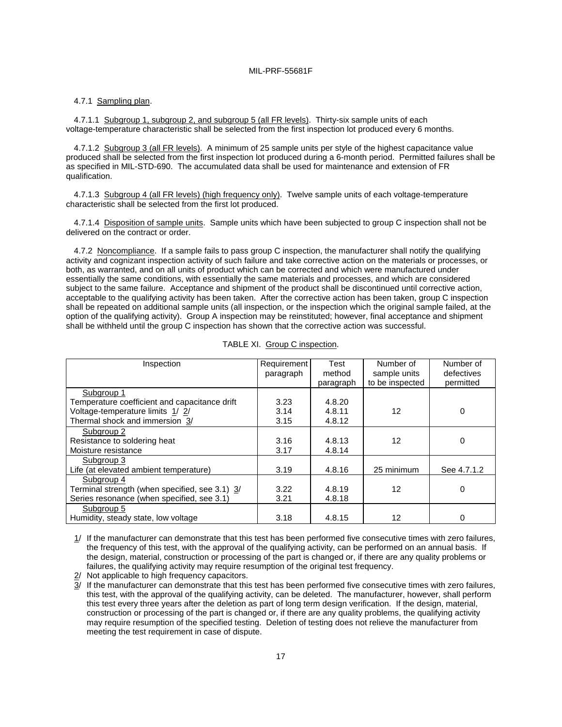## 4.7.1 Sampling plan.

4.7.1.1 Subgroup 1, subgroup 2, and subgroup 5 (all FR levels). Thirty-six sample units of each voltage-temperature characteristic shall be selected from the first inspection lot produced every 6 months.

4.7.1.2 Subgroup 3 (all FR levels). A minimum of 25 sample units per style of the highest capacitance value produced shall be selected from the first inspection lot produced during a 6-month period. Permitted failures shall be as specified in MIL-STD-690. The accumulated data shall be used for maintenance and extension of FR qualification.

4.7.1.3 Subgroup 4 (all FR levels) (high frequency only). Twelve sample units of each voltage-temperature characteristic shall be selected from the first lot produced.

4.7.1.4 Disposition of sample units. Sample units which have been subjected to group C inspection shall not be delivered on the contract or order.

4.7.2 Noncompliance. If a sample fails to pass group C inspection, the manufacturer shall notify the qualifying activity and cognizant inspection activity of such failure and take corrective action on the materials or processes, or both, as warranted, and on all units of product which can be corrected and which were manufactured under essentially the same conditions, with essentially the same materials and processes, and which are considered subject to the same failure. Acceptance and shipment of the product shall be discontinued until corrective action, acceptable to the qualifying activity has been taken. After the corrective action has been taken, group C inspection shall be repeated on additional sample units (all inspection, or the inspection which the original sample failed, at the option of the qualifying activity). Group A inspection may be reinstituted; however, final acceptance and shipment shall be withheld until the group C inspection has shown that the corrective action was successful.

| Inspection                                     | Requirement | Test      | Number of       | Number of   |
|------------------------------------------------|-------------|-----------|-----------------|-------------|
|                                                | paragraph   | method    | sample units    | defectives  |
|                                                |             | paragraph | to be inspected | permitted   |
| Subgroup 1                                     |             |           |                 |             |
| Temperature coefficient and capacitance drift  | 3.23        | 4.8.20    |                 |             |
| Voltage-temperature limits 1/2/                | 3.14        | 4.8.11    | 12              | 0           |
| Thermal shock and immersion 3/                 | 3.15        | 4.8.12    |                 |             |
| Subgroup 2                                     |             |           |                 |             |
| Resistance to soldering heat                   | 3.16        | 4.8.13    | 12              | 0           |
| Moisture resistance                            | 3.17        | 4.8.14    |                 |             |
| Subgroup 3                                     |             |           |                 |             |
| Life (at elevated ambient temperature)         | 3.19        | 4.8.16    | 25 minimum      | See 4.7.1.2 |
| Subgroup 4                                     |             |           |                 |             |
| Terminal strength (when specified, see 3.1) 3/ | 3.22        | 4.8.19    | 12              | 0           |
| Series resonance (when specified, see 3.1)     | 3.21        | 4.8.18    |                 |             |
| Subgroup 5                                     |             |           |                 |             |
| Humidity, steady state, low voltage            | 3.18        | 4.8.15    | 12              | 0           |

|  |  | TABLE XI. Group C inspection. |
|--|--|-------------------------------|
|--|--|-------------------------------|

1/ If the manufacturer can demonstrate that this test has been performed five consecutive times with zero failures, the frequency of this test, with the approval of the qualifying activity, can be performed on an annual basis. If the design, material, construction or processing of the part is changed or, if there are any quality problems or failures, the qualifying activity may require resumption of the original test frequency.

2/ Not applicable to high frequency capacitors.

 $\overline{3}$ / If the manufacturer can demonstrate that this test has been performed five consecutive times with zero failures, this test, with the approval of the qualifying activity, can be deleted. The manufacturer, however, shall perform this test every three years after the deletion as part of long term design verification. If the design, material, construction or processing of the part is changed or, if there are any quality problems, the qualifying activity may require resumption of the specified testing. Deletion of testing does not relieve the manufacturer from meeting the test requirement in case of dispute.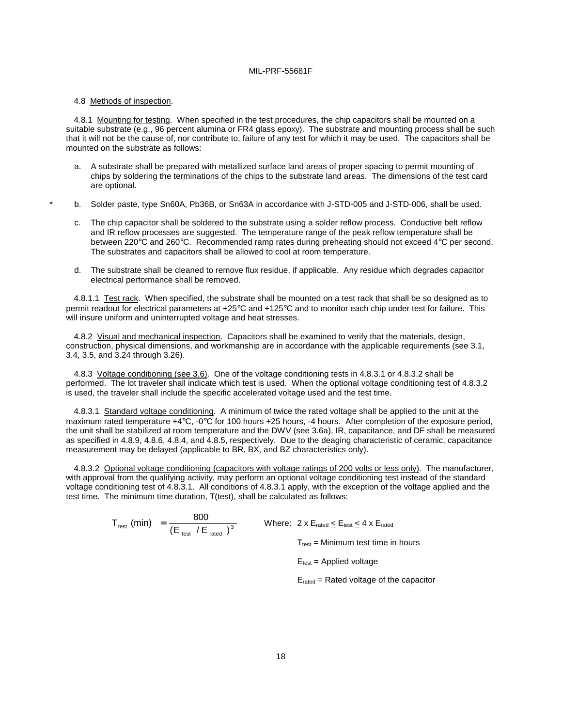#### 4.8 Methods of inspection.

4.8.1 Mounting for testing. When specified in the test procedures, the chip capacitors shall be mounted on a suitable substrate (e.g., 96 percent alumina or FR4 glass epoxy). The substrate and mounting process shall be such that it will not be the cause of, nor contribute to, failure of any test for which it may be used. The capacitors shall be mounted on the substrate as follows:

- a. A substrate shall be prepared with metallized surface land areas of proper spacing to permit mounting of chips by soldering the terminations of the chips to the substrate land areas. The dimensions of the test card are optional.
- b. Solder paste, type Sn60A, Pb36B, or Sn63A in accordance with J-STD-005 and J-STD-006, shall be used.
- c. The chip capacitor shall be soldered to the substrate using a solder reflow process. Conductive belt reflow and IR reflow processes are suggested. The temperature range of the peak reflow temperature shall be between 220°C and 260°C. Recommended ramp rates during preheating should not exceed 4°C per second. The substrates and capacitors shall be allowed to cool at room temperature.
- d. The substrate shall be cleaned to remove flux residue, if applicable. Any residue which degrades capacitor electrical performance shall be removed.

4.8.1.1 Test rack. When specified, the substrate shall be mounted on a test rack that shall be so designed as to permit readout for electrical parameters at +25°C and +125°C and to monitor each chip under test for failure. This will insure uniform and uninterrupted voltage and heat stresses.

 4.8.2 Visual and mechanical inspection. Capacitors shall be examined to verify that the materials, design, construction, physical dimensions, and workmanship are in accordance with the applicable requirements (see 3.1, 3.4, 3.5, and 3.24 through 3.26).

4.8.3 Voltage conditioning (see 3.6). One of the voltage conditioning tests in 4.8.3.1 or 4.8.3.2 shall be performed. The lot traveler shall indicate which test is used. When the optional voltage conditioning test of 4.8.3.2 is used, the traveler shall include the specific accelerated voltage used and the test time.

 4.8.3.1 Standard voltage conditioning. A minimum of twice the rated voltage shall be applied to the unit at the maximum rated temperature +4°C, -0°C for 100 hours +25 hours, -4 hours. After completion of the exposure period, the unit shall be stabilized at room temperature and the DWV (see 3.6a), IR, capacitance, and DF shall be measured as specified in 4.8.9, 4.8.6, 4.8.4, and 4.8.5, respectively. Due to the deaging characteristic of ceramic, capacitance measurement may be delayed (applicable to BR, BX, and BZ characteristics only).

4.8.3.2 Optional voltage conditioning (capacitors with voltage ratings of 200 volts or less only). The manufacturer, with approval from the qualifying activity, may perform an optional voltage conditioning test instead of the standard voltage conditioning test of 4.8.3.1. All conditions of 4.8.3.1 apply, with the exception of the voltage applied and the test time. The minimum time duration, T(test), shall be calculated as follows:

> $T_{\text{test}}$  (min)  $=$   $\frac{800}{\left(E_{\text{test}} / E_{\text{rated}}\right)^3}$  Where: 2 x E<sub>rated</sub>  $\le E_{\text{test}} \le 4$  x E<sub>rated</sub>  $T_{test}$  = Minimum test time in hours

> > $E_{test}$  = Applied voltage

Erated = Rated voltage of the capacitor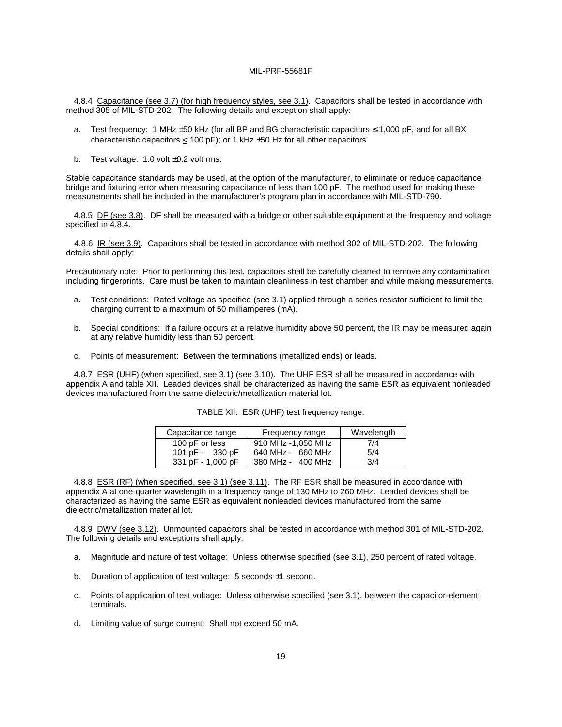4.8.4 Capacitance (see 3.7) (for high frequency styles, see 3.1). Capacitors shall be tested in accordance with method 305 of MIL-STD-202. The following details and exception shall apply:

- a. Test frequency: 1 MHz ±50 kHz (for all BP and BG characteristic capacitors ≤ 1,000 pF, and for all BX characteristic capacitors  $<$  100 pF); or 1 kHz  $\pm$ 50 Hz for all other capacitors.
- b. Test voltage:  $1.0$  volt  $\pm 0.2$  volt rms.

Stable capacitance standards may be used, at the option of the manufacturer, to eliminate or reduce capacitance bridge and fixturing error when measuring capacitance of less than 100 pF. The method used for making these measurements shall be included in the manufacturer's program plan in accordance with MIL-STD-790.

 4.8.5 DF (see 3.8). DF shall be measured with a bridge or other suitable equipment at the frequency and voltage specified in 4.8.4.

4.8.6 IR (see 3.9). Capacitors shall be tested in accordance with method 302 of MIL-STD-202. The following details shall apply:

Precautionary note: Prior to performing this test, capacitors shall be carefully cleaned to remove any contamination including fingerprints. Care must be taken to maintain cleanliness in test chamber and while making measurements.

- a. Test conditions: Rated voltage as specified (see 3.1) applied through a series resistor sufficient to limit the charging current to a maximum of 50 milliamperes (mA).
- b. Special conditions: If a failure occurs at a relative humidity above 50 percent, the IR may be measured again at any relative humidity less than 50 percent.
- c. Points of measurement: Between the terminations (metallized ends) or leads.

4.8.7 ESR (UHF) (when specified, see 3.1) (see 3.10). The UHF ESR shall be measured in accordance with appendix A and table XII. Leaded devices shall be characterized as having the same ESR as equivalent nonleaded devices manufactured from the same dielectric/metallization material lot.

| Capacitance range | Frequency range    | Wavelength |
|-------------------|--------------------|------------|
| 100 pF or less    | 910 MHz -1,050 MHz | 7/4        |
| 101 pF - 330 pF   | 640 MHz - 660 MHz  | 5/4        |
| 331 pF - 1,000 pF | 380 MHz - 400 MHz  | 3/4        |

TABLE XII. ESR (UHF) test frequency range.

4.8.8 ESR (RF) (when specified, see 3.1) (see 3.11). The RF ESR shall be measured in accordance with appendix A at one-quarter wavelength in a frequency range of 130 MHz to 260 MHz. Leaded devices shall be characterized as having the same ESR as equivalent nonleaded devices manufactured from the same dielectric/metallization material lot.

4.8.9 DWV (see 3.12). Unmounted capacitors shall be tested in accordance with method 301 of MIL-STD-202. The following details and exceptions shall apply:

- a. Magnitude and nature of test voltage: Unless otherwise specified (see 3.1), 250 percent of rated voltage.
- b. Duration of application of test voltage: 5 seconds ±1 second.
- c. Points of application of test voltage: Unless otherwise specified (see 3.1), between the capacitor-element terminals.
- d. Limiting value of surge current: Shall not exceed 50 mA.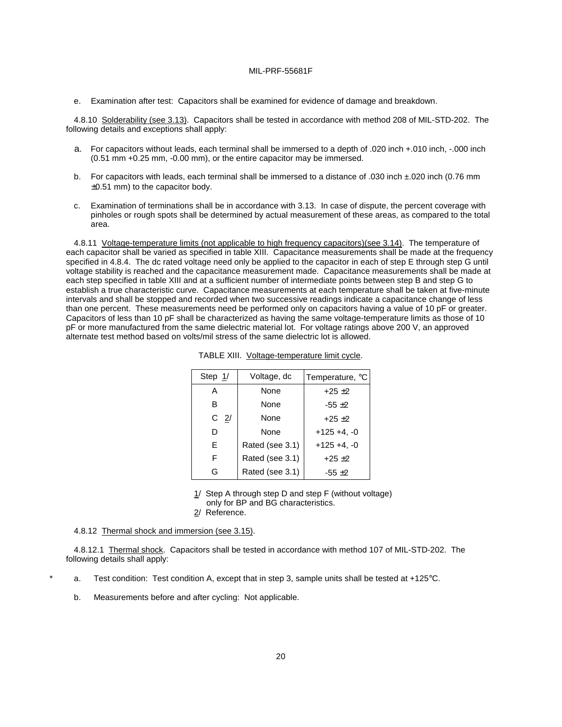e. Examination after test: Capacitors shall be examined for evidence of damage and breakdown.

4.8.10 Solderability (see 3.13). Capacitors shall be tested in accordance with method 208 of MIL-STD-202. The following details and exceptions shall apply:

- a. For capacitors without leads, each terminal shall be immersed to a depth of .020 inch +.010 inch, -.000 inch (0.51 mm +0.25 mm, -0.00 mm), or the entire capacitor may be immersed.
- b. For capacitors with leads, each terminal shall be immersed to a distance of .030 inch ±.020 inch (0.76 mm ±0.51 mm) to the capacitor body.
- c. Examination of terminations shall be in accordance with 3.13. In case of dispute, the percent coverage with pinholes or rough spots shall be determined by actual measurement of these areas, as compared to the total area.

4.8.11 Voltage-temperature limits (not applicable to high frequency capacitors)(see 3.14). The temperature of each capacitor shall be varied as specified in table XIII. Capacitance measurements shall be made at the frequency specified in 4.8.4. The dc rated voltage need only be applied to the capacitor in each of step E through step G until voltage stability is reached and the capacitance measurement made. Capacitance measurements shall be made at each step specified in table XIII and at a sufficient number of intermediate points between step B and step G to establish a true characteristic curve. Capacitance measurements at each temperature shall be taken at five-minute intervals and shall be stopped and recorded when two successive readings indicate a capacitance change of less than one percent. These measurements need be performed only on capacitors having a value of 10 pF or greater. Capacitors of less than 10 pF shall be characterized as having the same voltage-temperature limits as those of 10 pF or more manufactured from the same dielectric material lot. For voltage ratings above 200 V, an approved alternate test method based on volts/mil stress of the same dielectric lot is allowed.

| Step $1/$      | Voltage, dc     | Temperature, °C |
|----------------|-----------------|-----------------|
| А              | None            | $+25+2$         |
| в              | None            | $-55 \pm 2$     |
| C <sub>2</sub> | None            | $+25+2$         |
| D              | None            | $+125 +4. -0$   |
| E              | Rated (see 3.1) | $+125 +4. -0$   |
| F              | Rated (see 3.1) | $+25+2$         |
| G              | Rated (see 3.1) | $-55 + 2$       |

TABLE XIII. Voltage-temperature limit cycle.

 $1/$  Step A through step D and step F (without voltage)

only for BP and BG characteristics.

2/ Reference.

4.8.12 Thermal shock and immersion (see 3.15).

4.8.12.1 Thermal shock. Capacitors shall be tested in accordance with method 107 of MIL-STD-202. The following details shall apply:

- a. Test condition: Test condition A, except that in step 3, sample units shall be tested at  $+125^{\circ}$ C.
- b. Measurements before and after cycling: Not applicable.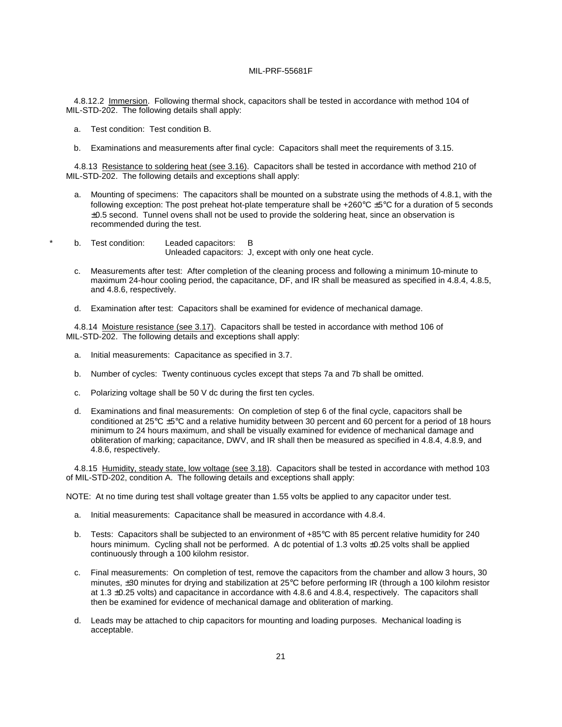4.8.12.2 Immersion. Following thermal shock, capacitors shall be tested in accordance with method 104 of MIL-STD-202. The following details shall apply:

- a. Test condition: Test condition B.
- b. Examinations and measurements after final cycle: Capacitors shall meet the requirements of 3.15.

4.8.13 Resistance to soldering heat (see 3.16). Capacitors shall be tested in accordance with method 210 of MIL-STD-202. The following details and exceptions shall apply:

- a. Mounting of specimens: The capacitors shall be mounted on a substrate using the methods of 4.8.1, with the following exception: The post preheat hot-plate temperature shall be +260°C ±5°C for a duration of 5 seconds  $\pm 0.5$  second. Tunnel ovens shall not be used to provide the soldering heat, since an observation is recommended during the test.
- b. Test condition: Leaded capacitors: B Unleaded capacitors: J, except with only one heat cycle.
- c. Measurements after test: After completion of the cleaning process and following a minimum 10-minute to maximum 24-hour cooling period, the capacitance, DF, and IR shall be measured as specified in 4.8.4, 4.8.5, and 4.8.6, respectively.
- d. Examination after test: Capacitors shall be examined for evidence of mechanical damage.

4.8.14 Moisture resistance (see 3.17). Capacitors shall be tested in accordance with method 106 of MIL-STD-202. The following details and exceptions shall apply:

- a. Initial measurements: Capacitance as specified in 3.7.
- b. Number of cycles: Twenty continuous cycles except that steps 7a and 7b shall be omitted.
- c. Polarizing voltage shall be 50 V dc during the first ten cycles.
- d. Examinations and final measurements: On completion of step 6 of the final cycle, capacitors shall be conditioned at 25°C ±5°C and a relative humidity between 30 percent and 60 percent for a period of 18 hours minimum to 24 hours maximum, and shall be visually examined for evidence of mechanical damage and obliteration of marking; capacitance, DWV, and IR shall then be measured as specified in 4.8.4, 4.8.9, and 4.8.6, respectively.

4.8.15 Humidity, steady state, low voltage (see 3.18). Capacitors shall be tested in accordance with method 103 of MIL-STD-202, condition A. The following details and exceptions shall apply:

NOTE: At no time during test shall voltage greater than 1.55 volts be applied to any capacitor under test.

- a. Initial measurements: Capacitance shall be measured in accordance with 4.8.4.
- b. Tests: Capacitors shall be subjected to an environment of +85°C with 85 percent relative humidity for 240 hours minimum. Cycling shall not be performed. A dc potential of 1.3 volts ±0.25 volts shall be applied continuously through a 100 kilohm resistor.
- c. Final measurements: On completion of test, remove the capacitors from the chamber and allow 3 hours, 30 minutes, ±30 minutes for drying and stabilization at 25°C before performing IR (through a 100 kilohm resistor at 1.3 ±0.25 volts) and capacitance in accordance with 4.8.6 and 4.8.4, respectively. The capacitors shall then be examined for evidence of mechanical damage and obliteration of marking.
- d. Leads may be attached to chip capacitors for mounting and loading purposes. Mechanical loading is acceptable.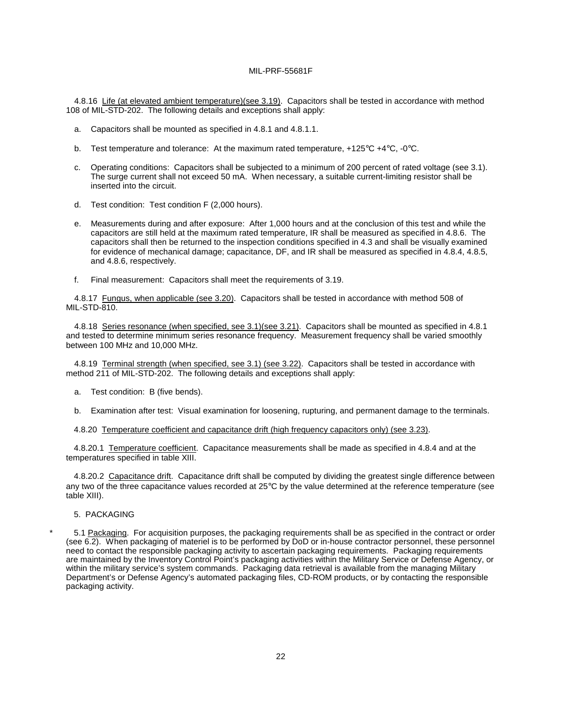4.8.16 Life (at elevated ambient temperature)(see 3.19). Capacitors shall be tested in accordance with method 108 of MIL-STD-202. The following details and exceptions shall apply:

- a. Capacitors shall be mounted as specified in 4.8.1 and 4.8.1.1.
- b. Test temperature and tolerance: At the maximum rated temperature, +125°C +4°C, -0°C.
- c. Operating conditions: Capacitors shall be subjected to a minimum of 200 percent of rated voltage (see 3.1). The surge current shall not exceed 50 mA. When necessary, a suitable current-limiting resistor shall be inserted into the circuit.
- d. Test condition: Test condition F (2,000 hours).
- e. Measurements during and after exposure: After 1,000 hours and at the conclusion of this test and while the capacitors are still held at the maximum rated temperature, IR shall be measured as specified in 4.8.6. The capacitors shall then be returned to the inspection conditions specified in 4.3 and shall be visually examined for evidence of mechanical damage; capacitance, DF, and IR shall be measured as specified in 4.8.4, 4.8.5, and 4.8.6, respectively.
- f. Final measurement: Capacitors shall meet the requirements of 3.19.

4.8.17 Fungus, when applicable (see 3.20). Capacitors shall be tested in accordance with method 508 of MIL-STD-810.

4.8.18 Series resonance (when specified, see 3.1)(see 3.21). Capacitors shall be mounted as specified in 4.8.1 and tested to determine minimum series resonance frequency. Measurement frequency shall be varied smoothly between 100 MHz and 10,000 MHz.

4.8.19 Terminal strength (when specified, see 3.1) (see 3.22). Capacitors shall be tested in accordance with method 211 of MIL-STD-202. The following details and exceptions shall apply:

- a. Test condition: B (five bends).
- b. Examination after test: Visual examination for loosening, rupturing, and permanent damage to the terminals.

4.8.20 Temperature coefficient and capacitance drift (high frequency capacitors only) (see 3.23).

4.8.20.1 Temperature coefficient. Capacitance measurements shall be made as specified in 4.8.4 and at the temperatures specified in table XIII.

4.8.20.2 Capacitance drift. Capacitance drift shall be computed by dividing the greatest single difference between any two of the three capacitance values recorded at  $25^{\circ}$ C by the value determined at the reference temperature (see table XIII).

5. PACKAGING

\* 5.1 Packaging. For acquisition purposes, the packaging requirements shall be as specified in the contract or order (see 6.2). When packaging of materiel is to be performed by DoD or in-house contractor personnel, these personnel need to contact the responsible packaging activity to ascertain packaging requirements. Packaging requirements are maintained by the Inventory Control Point's packaging activities within the Military Service or Defense Agency, or within the military service's system commands. Packaging data retrieval is available from the managing Military Department's or Defense Agency's automated packaging files, CD-ROM products, or by contacting the responsible packaging activity.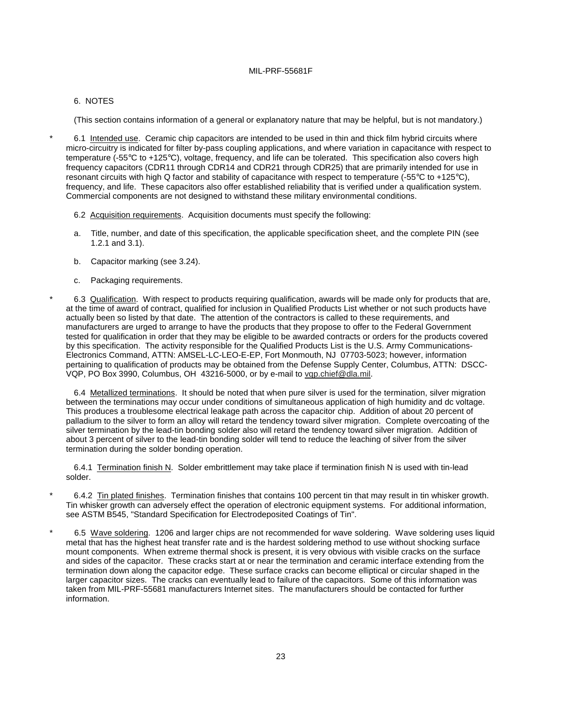# 6. NOTES

(This section contains information of a general or explanatory nature that may be helpful, but is not mandatory.)

\* 6.1 Intended use. Ceramic chip capacitors are intended to be used in thin and thick film hybrid circuits where micro-circuitry is indicated for filter by-pass coupling applications, and where variation in capacitance with respect to temperature (-55°C to +125°C), voltage, frequency, and life can be tolerated. This specification also covers high frequency capacitors (CDR11 through CDR14 and CDR21 through CDR25) that are primarily intended for use in resonant circuits with high Q factor and stability of capacitance with respect to temperature (-55°C to +125°C), frequency, and life. These capacitors also offer established reliability that is verified under a qualification system. Commercial components are not designed to withstand these military environmental conditions.

- 6.2 Acquisition requirements. Acquisition documents must specify the following:
- a. Title, number, and date of this specification, the applicable specification sheet, and the complete PIN (see 1.2.1 and 3.1).
- b. Capacitor marking (see 3.24).
- c. Packaging requirements.

\* 6.3 Qualification. With respect to products requiring qualification, awards will be made only for products that are, at the time of award of contract, qualified for inclusion in Qualified Products List whether or not such products have actually been so listed by that date. The attention of the contractors is called to these requirements, and manufacturers are urged to arrange to have the products that they propose to offer to the Federal Government tested for qualification in order that they may be eligible to be awarded contracts or orders for the products covered by this specification. The activity responsible for the Qualified Products List is the U.S. Army Communications-Electronics Command, ATTN: AMSEL-LC-LEO-E-EP, Fort Monmouth, NJ 07703-5023; however, information pertaining to qualification of products may be obtained from the Defense Supply Center, Columbus, ATTN: DSCC-VQP, PO Box 3990, Columbus, OH 43216-5000, or by e-mail to vqp.chief@dla.mil.

6.4 Metallized terminations. It should be noted that when pure silver is used for the termination, silver migration between the terminations may occur under conditions of simultaneous application of high humidity and dc voltage. This produces a troublesome electrical leakage path across the capacitor chip. Addition of about 20 percent of palladium to the silver to form an alloy will retard the tendency toward silver migration. Complete overcoating of the silver termination by the lead-tin bonding solder also will retard the tendency toward silver migration. Addition of about 3 percent of silver to the lead-tin bonding solder will tend to reduce the leaching of silver from the silver termination during the solder bonding operation.

6.4.1 Termination finish N. Solder embrittlement may take place if termination finish N is used with tin-lead solder.

- 6.4.2 Tin plated finishes. Termination finishes that contains 100 percent tin that may result in tin whisker growth. Tin whisker growth can adversely effect the operation of electronic equipment systems. For additional information, see ASTM B545, "Standard Specification for Electrodeposited Coatings of Tin".
- \* 6.5 Wave soldering. 1206 and larger chips are not recommended for wave soldering. Wave soldering uses liquid metal that has the highest heat transfer rate and is the hardest soldering method to use without shocking surface mount components. When extreme thermal shock is present, it is very obvious with visible cracks on the surface and sides of the capacitor. These cracks start at or near the termination and ceramic interface extending from the termination down along the capacitor edge. These surface cracks can become elliptical or circular shaped in the larger capacitor sizes. The cracks can eventually lead to failure of the capacitors. Some of this information was taken from MIL-PRF-55681 manufacturers Internet sites. The manufacturers should be contacted for further information.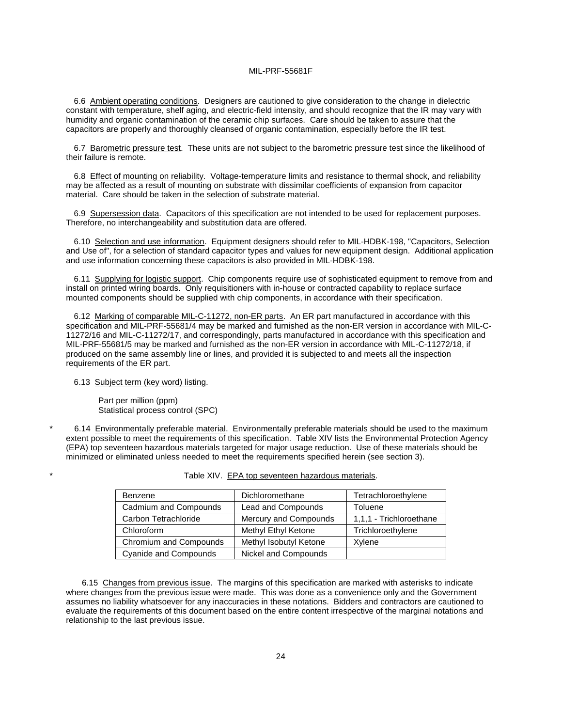6.6 Ambient operating conditions. Designers are cautioned to give consideration to the change in dielectric constant with temperature, shelf aging, and electric-field intensity, and should recognize that the IR may vary with humidity and organic contamination of the ceramic chip surfaces. Care should be taken to assure that the capacitors are properly and thoroughly cleansed of organic contamination, especially before the IR test.

6.7 Barometric pressure test. These units are not subject to the barometric pressure test since the likelihood of their failure is remote.

6.8 Effect of mounting on reliability. Voltage-temperature limits and resistance to thermal shock, and reliability may be affected as a result of mounting on substrate with dissimilar coefficients of expansion from capacitor material. Care should be taken in the selection of substrate material.

6.9 Supersession data. Capacitors of this specification are not intended to be used for replacement purposes. Therefore, no interchangeability and substitution data are offered.

6.10 Selection and use information. Equipment designers should refer to MIL-HDBK-198, "Capacitors, Selection and Use of", for a selection of standard capacitor types and values for new equipment design. Additional application and use information concerning these capacitors is also provided in MIL-HDBK-198.

6.11 Supplying for logistic support. Chip components require use of sophisticated equipment to remove from and install on printed wiring boards. Only requisitioners with in-house or contracted capability to replace surface mounted components should be supplied with chip components, in accordance with their specification.

6.12 Marking of comparable MIL-C-11272, non-ER parts. An ER part manufactured in accordance with this specification and MIL-PRF-55681/4 may be marked and furnished as the non-ER version in accordance with MIL-C-11272/16 and MIL-C-11272/17, and correspondingly, parts manufactured in accordance with this specification and MIL-PRF-55681/5 may be marked and furnished as the non-ER version in accordance with MIL-C-11272/18, if produced on the same assembly line or lines, and provided it is subjected to and meets all the inspection requirements of the ER part.

### 6.13 Subject term (key word) listing.

 Part per million (ppm) Statistical process control (SPC)

6.14 Environmentally preferable material. Environmentally preferable materials should be used to the maximum extent possible to meet the requirements of this specification. Table XIV lists the Environmental Protection Agency (EPA) top seventeen hazardous materials targeted for major usage reduction. Use of these materials should be minimized or eliminated unless needed to meet the requirements specified herein (see section 3).

| Benzene                      | Dichloromethane        | Tetrachloroethylene     |
|------------------------------|------------------------|-------------------------|
| Cadmium and Compounds        | Lead and Compounds     | <b>Toluene</b>          |
| Carbon Tetrachloride         | Mercury and Compounds  | 1,1,1 - Trichloroethane |
| Chloroform                   | Methyl Ethyl Ketone    | Trichloroethylene       |
| Chromium and Compounds       | Methyl Isobutyl Ketone | Xylene                  |
| <b>Cyanide and Compounds</b> | Nickel and Compounds   |                         |

|  | Table XIV. EPA top seventeen hazardous materials. |
|--|---------------------------------------------------|
|  |                                                   |

 6.15 Changes from previous issue. The margins of this specification are marked with asterisks to indicate where changes from the previous issue were made. This was done as a convenience only and the Government assumes no liability whatsoever for any inaccuracies in these notations. Bidders and contractors are cautioned to evaluate the requirements of this document based on the entire content irrespective of the marginal notations and relationship to the last previous issue.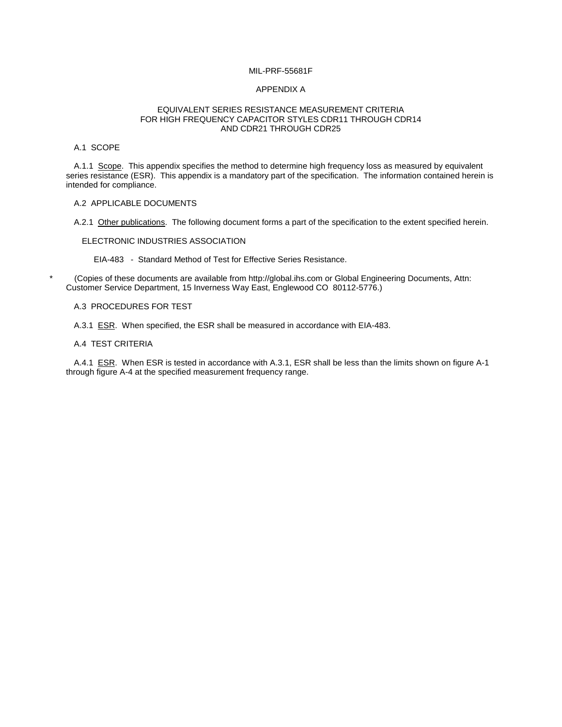### APPENDIX A

#### EQUIVALENT SERIES RESISTANCE MEASUREMENT CRITERIA FOR HIGH FREQUENCY CAPACITOR STYLES CDR11 THROUGH CDR14 AND CDR21 THROUGH CDR25

# A.1 SCOPE

A.1.1 Scope. This appendix specifies the method to determine high frequency loss as measured by equivalent series resistance (ESR). This appendix is a mandatory part of the specification. The information contained herein is intended for compliance.

#### A.2 APPLICABLE DOCUMENTS

A.2.1 Other publications. The following document forms a part of the specification to the extent specified herein.

#### ELECTRONIC INDUSTRIES ASSOCIATION

EIA-483 - Standard Method of Test for Effective Series Resistance.

\* (Copies of these documents are available from http://global.ihs.com or Global Engineering Documents, Attn: Customer Service Department, 15 Inverness Way East, Englewood CO 80112-5776.)

# A.3 PROCEDURES FOR TEST

A.3.1 ESR. When specified, the ESR shall be measured in accordance with EIA-483.

# A.4 TEST CRITERIA

A.4.1 ESR. When ESR is tested in accordance with A.3.1, ESR shall be less than the limits shown on figure A-1 through figure A-4 at the specified measurement frequency range.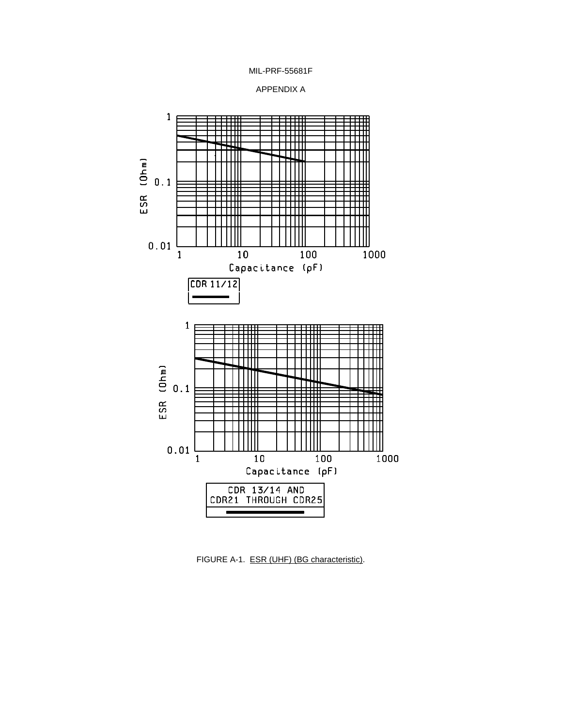





FIGURE A-1. ESR (UHF) (BG characteristic).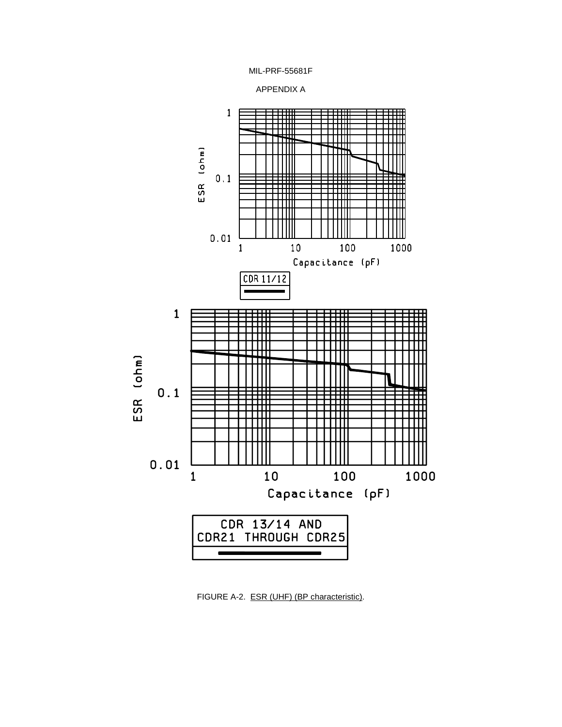





FIGURE A-2. ESR (UHF) (BP characteristic).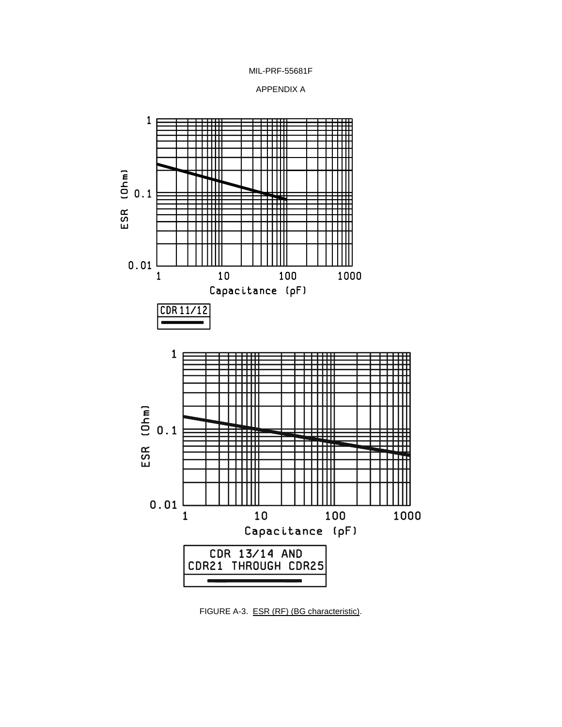





FIGURE A-3. ESR (RF) (BG characteristic).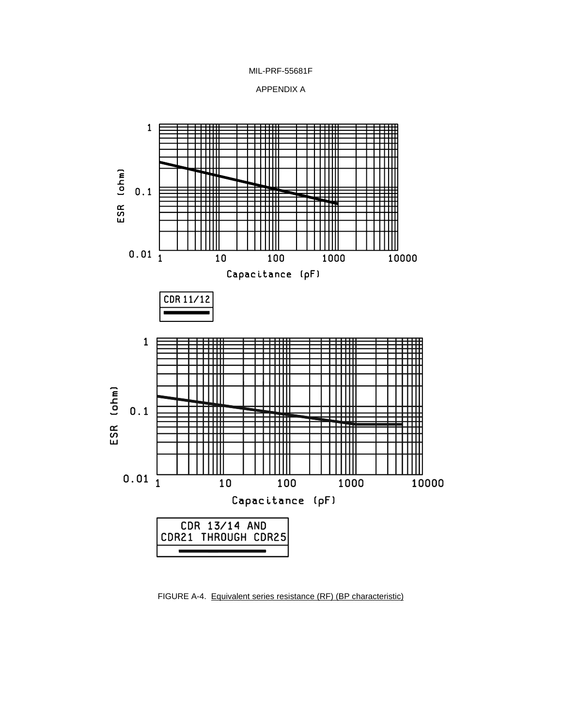MIL-PRF-55681F





FIGURE A-4. Equivalent series resistance (RF) (BP characteristic)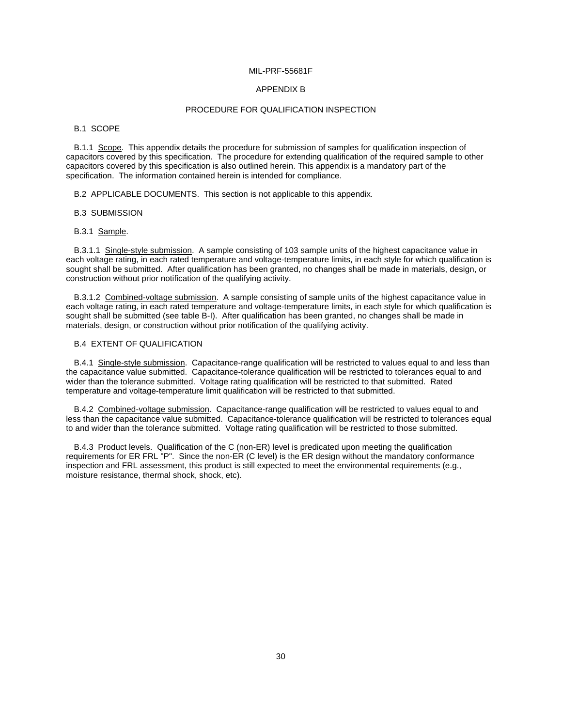#### APPENDIX B

#### PROCEDURE FOR QUALIFICATION INSPECTION

B.1 SCOPE

B.1.1 Scope. This appendix details the procedure for submission of samples for qualification inspection of capacitors covered by this specification. The procedure for extending qualification of the required sample to other capacitors covered by this specification is also outlined herein. This appendix is a mandatory part of the specification. The information contained herein is intended for compliance.

B.2 APPLICABLE DOCUMENTS. This section is not applicable to this appendix.

B.3 SUBMISSION

B.3.1 Sample.

B.3.1.1 Single-style submission. A sample consisting of 103 sample units of the highest capacitance value in each voltage rating, in each rated temperature and voltage-temperature limits, in each style for which qualification is sought shall be submitted. After qualification has been granted, no changes shall be made in materials, design, or construction without prior notification of the qualifying activity.

B.3.1.2 Combined-voltage submission. A sample consisting of sample units of the highest capacitance value in each voltage rating, in each rated temperature and voltage-temperature limits, in each style for which qualification is sought shall be submitted (see table B-I). After qualification has been granted, no changes shall be made in materials, design, or construction without prior notification of the qualifying activity.

# B.4 EXTENT OF QUALIFICATION

B.4.1 Single-style submission. Capacitance-range qualification will be restricted to values equal to and less than the capacitance value submitted. Capacitance-tolerance qualification will be restricted to tolerances equal to and wider than the tolerance submitted. Voltage rating qualification will be restricted to that submitted. Rated temperature and voltage-temperature limit qualification will be restricted to that submitted.

B.4.2 Combined-voltage submission. Capacitance-range qualification will be restricted to values equal to and less than the capacitance value submitted. Capacitance-tolerance qualification will be restricted to tolerances equal to and wider than the tolerance submitted. Voltage rating qualification will be restricted to those submitted.

B.4.3 Product levels. Qualification of the C (non-ER) level is predicated upon meeting the qualification requirements for ER FRL "P". Since the non-ER (C level) is the ER design without the mandatory conformance inspection and FRL assessment, this product is still expected to meet the environmental requirements (e.g., moisture resistance, thermal shock, shock, etc).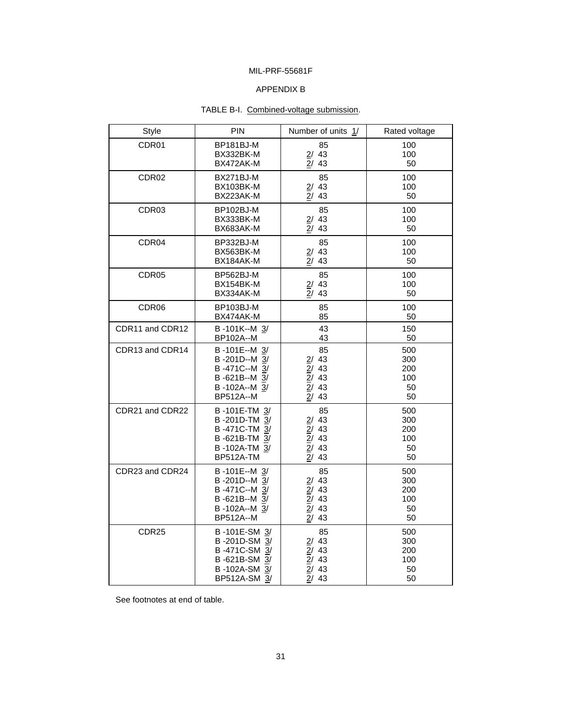# APPENDIX B

# TABLE B-I. Combined-voltage submission.

| Style             | <b>PIN</b>       | Number of units 1/  | Rated voltage |
|-------------------|------------------|---------------------|---------------|
| CDR01             | BP181BJ-M        | 85                  | 100           |
|                   | BX332BK-M        | 2/43                | 100           |
|                   | BX472AK-M        | 2/43                | 50            |
| CDR <sub>02</sub> | BX271BJ-M        | 85                  | 100           |
|                   | BX103BK-M        | 2/43                | 100           |
|                   | BX223AK-M        | 2/43                | 50            |
| CDR <sub>03</sub> | BP102BJ-M        | 85                  | 100           |
|                   | BX333BK-M        | 2/43                | 100           |
|                   | BX683AK-M        | 2/43                | 50            |
| CDR04             | BP332BJ-M        | 85                  | 100           |
|                   | BX563BK-M        | 2/43                | 100           |
|                   | BX184AK-M        | 2/43                | 50            |
| CDR <sub>05</sub> | BP562BJ-M        | 85                  | 100           |
|                   | BX154BK-M        | 2/43                | 100           |
|                   | BX334AK-M        | 2/43                | 50            |
| CDR <sub>06</sub> | BP103BJ-M        | 85                  | 100           |
|                   | BX474AK-M        | 85                  | 50            |
| CDR11 and CDR12   | B-101K--M 3/     | 43                  | 150           |
|                   | BP102A--M        | 43                  | 50            |
| CDR13 and CDR14   | B-101E--M 3/     | 85                  | 500           |
|                   | B-201D--M 3/     | 2/43                | 300           |
|                   | B-471C--M 3/     | 2/43                | 200           |
|                   | B-621B--M 3/     | $\overline{2}$ / 43 | 100           |
|                   | B-102A--M 3/     | 2/43                | 50            |
|                   | <b>BP512A--M</b> | 2/43                | 50            |
| CDR21 and CDR22   | B-101E-TM 3/     | 85                  | 500           |
|                   | B-201D-TM 3/     | 2/43                | 300           |
|                   | B-471C-TM 3/     | $\overline{2}$ / 43 | 200           |
|                   | B-621B-TM 3/     | 2/43                | 100           |
|                   | B-102A-TM 3/     | 2/43                | 50            |
|                   | <b>BP512A-TM</b> | 2/43                | 50            |
| CDR23 and CDR24   | B-101E--M 3/     | 85                  | 500           |
|                   | B-201D--M 3/     | 2/43                | 300           |
|                   | B-471C--M 3/     | 2/43                | 200           |
|                   | B-621B--M 3/     | 2/43                | 100           |
|                   | B-102A--M 3/     | 2/43                | 50            |
|                   | BP512A--M        | 2/43                | 50            |
| CDR <sub>25</sub> | B-101E-SM 3/     | 85                  | 500           |
|                   | B-201D-SM 3/     | 2/43                | 300           |
|                   | B-471C-SM 3/     | 2/43                | 200           |
|                   | B-621B-SM 3/     | 2/43                | 100           |
|                   | B-102A-SM 3/     | 2/43                | 50            |
|                   | BP512A-SM 3/     | 2/43                | 50            |

See footnotes at end of table.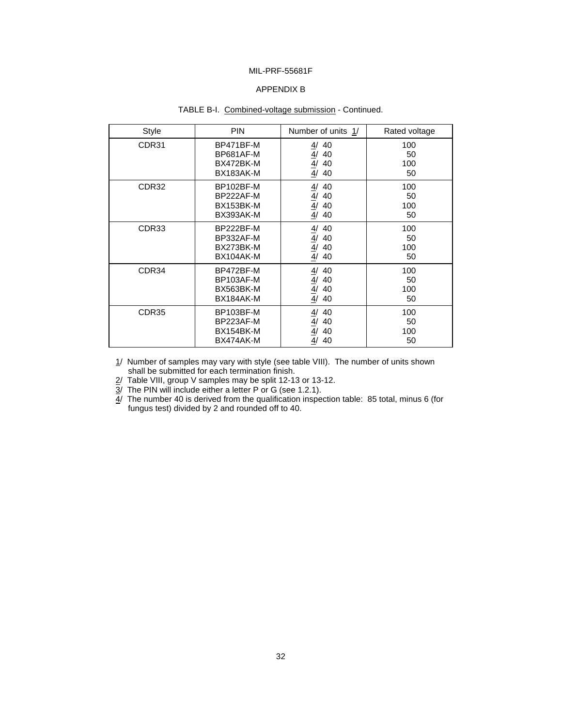# APPENDIX B

# TABLE B-I. Combined-voltage submission - Continued.

| <b>Style</b>      | <b>PIN</b>                                       | Number of units 1/                                                 | Rated voltage          |
|-------------------|--------------------------------------------------|--------------------------------------------------------------------|------------------------|
| CDR31             | BP471BF-M<br>BP681AF-M<br>BX472BK-M<br>BX183AK-M | 4/<br>40<br>4/<br>40<br>4/40<br>4/<br>40                           | 100<br>50<br>100<br>50 |
| CDR32             | BP102BF-M<br>BP222AF-M<br>BX153BK-M<br>BX393AK-M | $\frac{\frac{4}{4}}{\frac{4}{4}}$<br>40<br>40<br>40<br>4/<br>40    | 100<br>50<br>100<br>50 |
| CDR33             | BP222BF-M<br>BP332AF-M<br>BX273BK-M<br>BX104AK-M | 4/<br>40<br>$\underline{4}$<br>40<br>$\frac{4}{4}$<br>40<br>40     | 100<br>50<br>100<br>50 |
| CDR34             | BP472BF-M<br>BP103AF-M<br>BX563BK-M<br>BX184AK-M | $\frac{4}{1}$<br>40<br>$\frac{4}{1}$<br>40<br>4/<br>40<br>4/<br>40 | 100<br>50<br>100<br>50 |
| CDR <sub>35</sub> | BP103BF-M<br>BP223AF-M<br>BX154BK-M<br>BX474AK-M | $\overline{4}$ /<br>40<br>$\frac{4}{\frac{4}{}}$<br>40<br>40<br>40 | 100<br>50<br>100<br>50 |

1/ Number of samples may vary with style (see table VIII). The number of units shown shall be submitted for each termination finish.

 $2/$  Table VIII, group V samples may be split 12-13 or 13-12.

 $3/$  The PIN will include either a letter P or G (see 1.2.1).

 $4/$  The number 40 is derived from the qualification inspection table: 85 total, minus 6 (for fungus test) divided by 2 and rounded off to 40.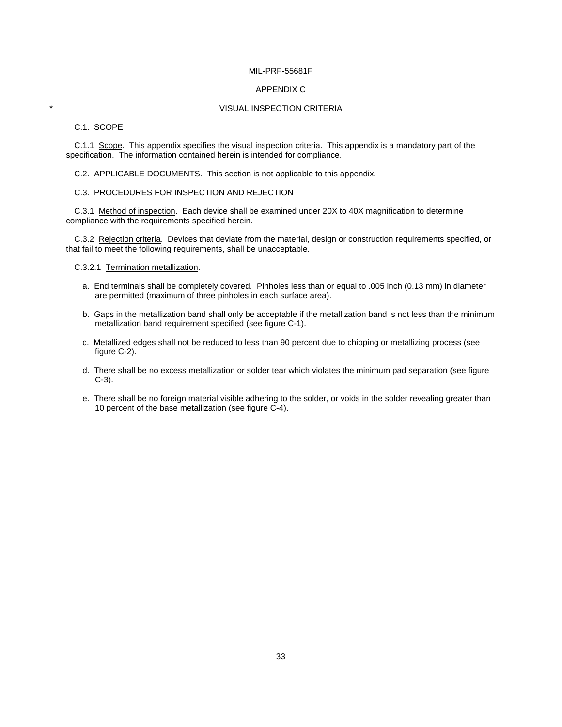#### APPENDIX C

# **VISUAL INSPECTION CRITERIA**

# C.1. SCOPE

C.1.1 Scope. This appendix specifies the visual inspection criteria. This appendix is a mandatory part of the specification. The information contained herein is intended for compliance.

C.2. APPLICABLE DOCUMENTS. This section is not applicable to this appendix.

# C.3. PROCEDURES FOR INSPECTION AND REJECTION

C.3.1 Method of inspection. Each device shall be examined under 20X to 40X magnification to determine compliance with the requirements specified herein.

C.3.2 Rejection criteria. Devices that deviate from the material, design or construction requirements specified, or that fail to meet the following requirements, shall be unacceptable.

C.3.2.1 Termination metallization.

- a. End terminals shall be completely covered. Pinholes less than or equal to .005 inch (0.13 mm) in diameter are permitted (maximum of three pinholes in each surface area).
- b. Gaps in the metallization band shall only be acceptable if the metallization band is not less than the minimum metallization band requirement specified (see figure C-1).
- c. Metallized edges shall not be reduced to less than 90 percent due to chipping or metallizing process (see figure C-2).
- d. There shall be no excess metallization or solder tear which violates the minimum pad separation (see figure C-3).
- e. There shall be no foreign material visible adhering to the solder, or voids in the solder revealing greater than 10 percent of the base metallization (see figure C-4).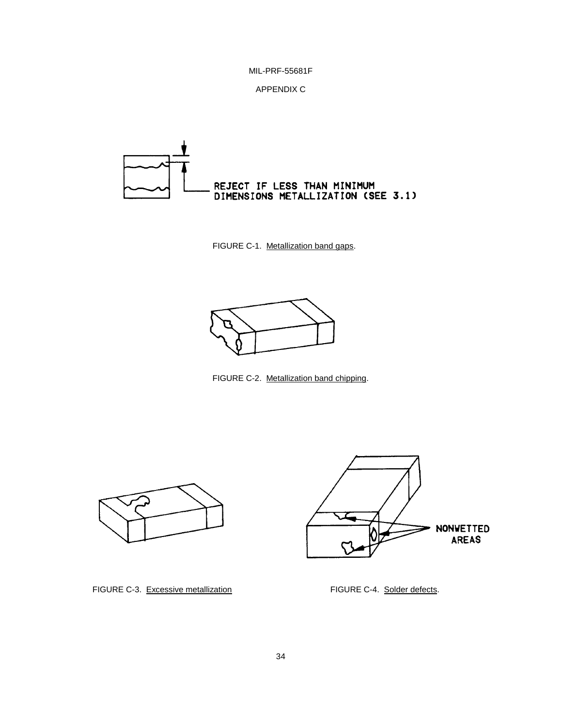



FIGURE C-1. Metallization band gaps.



FIGURE C-2. Metallization band chipping.





FIGURE C-3. Excessive metallization FIGURE C-4. Solder defects.

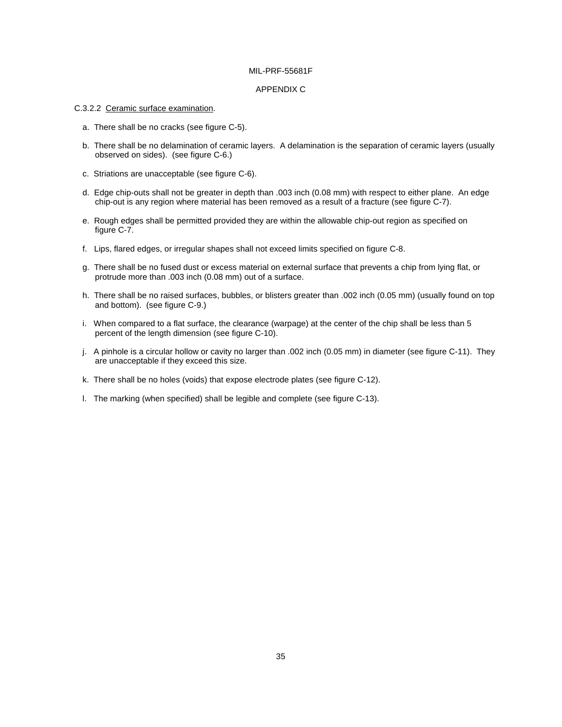#### APPENDIX C

#### C.3.2.2 Ceramic surface examination.

- a. There shall be no cracks (see figure C-5).
- b. There shall be no delamination of ceramic layers. A delamination is the separation of ceramic layers (usually observed on sides). (see figure C-6.)
- c. Striations are unacceptable (see figure C-6).
- d. Edge chip-outs shall not be greater in depth than .003 inch (0.08 mm) with respect to either plane. An edge chip-out is any region where material has been removed as a result of a fracture (see figure C-7).
- e. Rough edges shall be permitted provided they are within the allowable chip-out region as specified on figure C-7.
- f. Lips, flared edges, or irregular shapes shall not exceed limits specified on figure C-8.
- g. There shall be no fused dust or excess material on external surface that prevents a chip from lying flat, or protrude more than .003 inch (0.08 mm) out of a surface.
- h. There shall be no raised surfaces, bubbles, or blisters greater than .002 inch (0.05 mm) (usually found on top and bottom). (see figure C-9.)
- i. When compared to a flat surface, the clearance (warpage) at the center of the chip shall be less than 5 percent of the length dimension (see figure C-10).
- j. A pinhole is a circular hollow or cavity no larger than .002 inch (0.05 mm) in diameter (see figure C-11). They are unacceptable if they exceed this size.
- k. There shall be no holes (voids) that expose electrode plates (see figure C-12).
- l. The marking (when specified) shall be legible and complete (see figure C-13).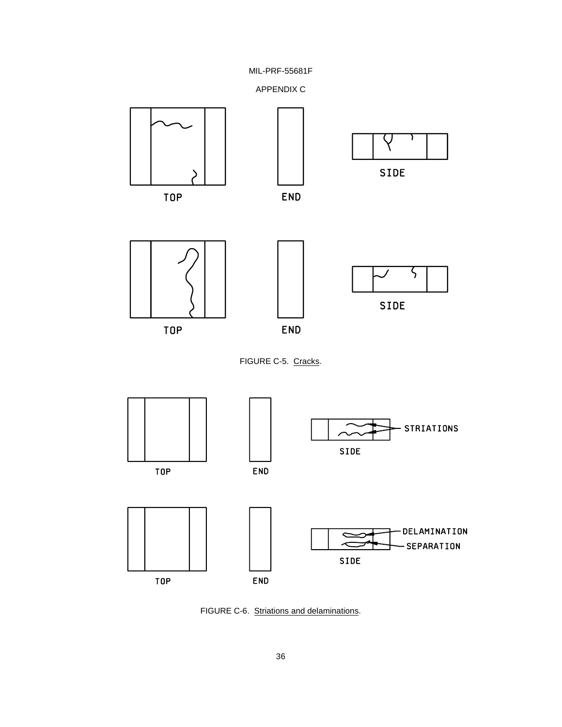



FIGURE C-6. Striations and delaminations.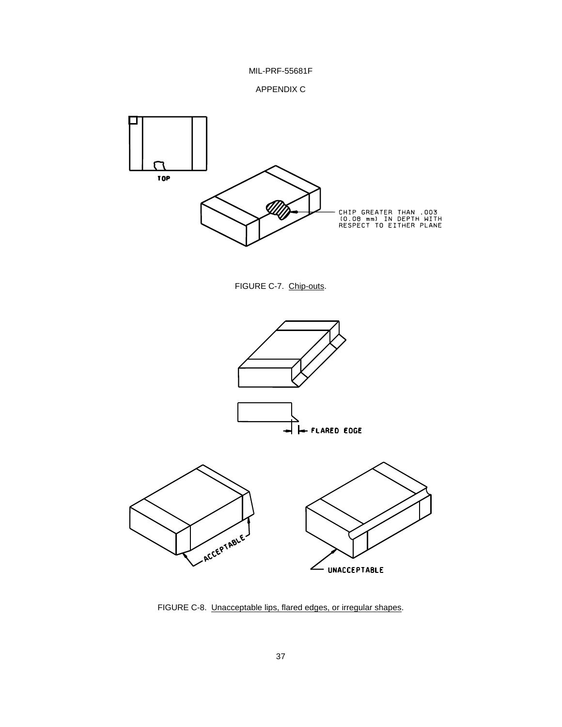MIL-PRF-55681F





FIGURE C-7. Chip-outs.



FIGURE C-8. Unacceptable lips, flared edges, or irregular shapes.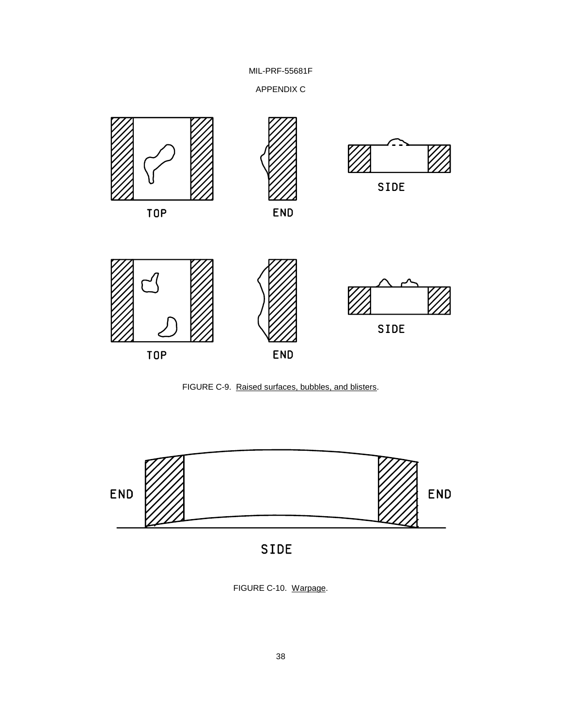APPENDIX C







SIDE

FIGURE C-10. Warpage.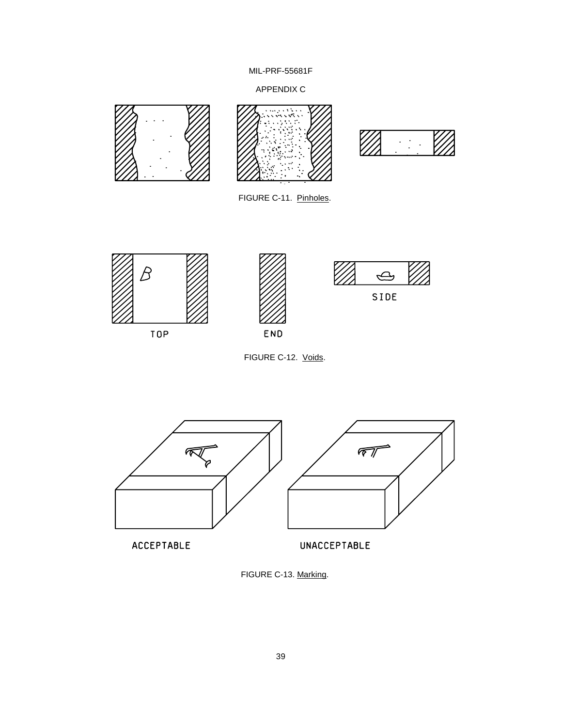APPENDIX C



FIGURE C-13. Marking.